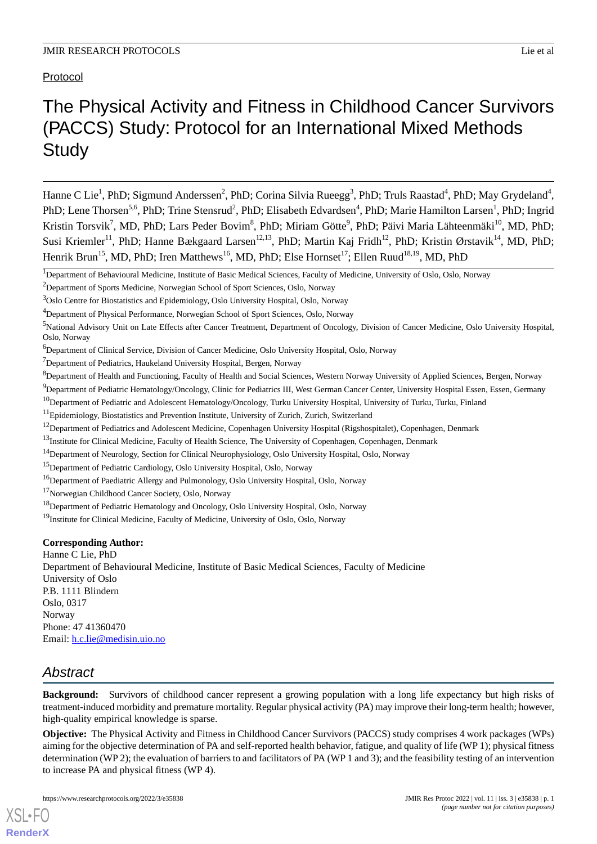Protocol

# The Physical Activity and Fitness in Childhood Cancer Survivors (PACCS) Study: Protocol for an International Mixed Methods **Study**

Hanne C Lie<sup>1</sup>, PhD; Sigmund Anderssen<sup>2</sup>, PhD; Corina Silvia Rueegg<sup>3</sup>, PhD; Truls Raastad<sup>4</sup>, PhD; May Grydeland<sup>4</sup>, PhD; Lene Thorsen<sup>5,6</sup>, PhD; Trine Stensrud<sup>2</sup>, PhD; Elisabeth Edvardsen<sup>4</sup>, PhD; Marie Hamilton Larsen<sup>1</sup>, PhD; Ingrid Kristin Torsvik<sup>7</sup>, MD, PhD; Lars Peder Bovim<sup>8</sup>, PhD; Miriam Götte<sup>9</sup>, PhD; Päivi Maria Lähteenmäki<sup>10</sup>, MD, PhD; Susi Kriemler<sup>11</sup>, PhD; Hanne Bækgaard Larsen<sup>12,13</sup>, PhD; Martin Kaj Fridh<sup>12</sup>, PhD; Kristin Ørstavik<sup>14</sup>, MD, PhD; Henrik Brun<sup>15</sup>, MD, PhD; Iren Matthews<sup>16</sup>, MD, PhD; Else Hornset<sup>17</sup>; Ellen Ruud<sup>18,19</sup>, MD, PhD

<sup>6</sup>Department of Clinical Service, Division of Cancer Medicine, Oslo University Hospital, Oslo, Norway

<sup>7</sup>Department of Pediatrics, Haukeland University Hospital, Bergen, Norway

<sup>10</sup>Department of Pediatric and Adolescent Hematology/Oncology, Turku University Hospital, University of Turku, Turku, Finland

<sup>11</sup>Epidemiology, Biostatistics and Prevention Institute, University of Zurich, Zurich, Switzerland

<sup>13</sup>Institute for Clinical Medicine, Faculty of Health Science, The University of Copenhagen, Copenhagen, Denmark

<sup>17</sup>Norwegian Childhood Cancer Society, Oslo, Norway

<sup>19</sup>Institute for Clinical Medicine, Faculty of Medicine, University of Oslo, Oslo, Norway

### **Corresponding Author:**

Hanne C Lie, PhD Department of Behavioural Medicine, Institute of Basic Medical Sciences, Faculty of Medicine University of Oslo P.B. 1111 Blindern Oslo, 0317 Norway Phone: 47 41360470 Email: [h.c.lie@medisin.uio.no](mailto:h.c.lie@medisin.uio.no)

## *Abstract*

[XSL](http://www.w3.org/Style/XSL)•FO **[RenderX](http://www.renderx.com/)**

**Background:** Survivors of childhood cancer represent a growing population with a long life expectancy but high risks of treatment-induced morbidity and premature mortality. Regular physical activity (PA) may improve their long-term health; however, high-quality empirical knowledge is sparse.

**Objective:** The Physical Activity and Fitness in Childhood Cancer Survivors (PACCS) study comprises 4 work packages (WPs) aiming for the objective determination of PA and self-reported health behavior, fatigue, and quality of life (WP 1); physical fitness determination (WP 2); the evaluation of barriers to and facilitators of PA (WP 1 and 3); and the feasibility testing of an intervention to increase PA and physical fitness (WP 4).

<sup>&</sup>lt;sup>1</sup>Department of Behavioural Medicine, Institute of Basic Medical Sciences, Faculty of Medicine, University of Oslo, Oslo, Norway

<sup>&</sup>lt;sup>2</sup>Department of Sports Medicine, Norwegian School of Sport Sciences, Oslo, Norway

<sup>&</sup>lt;sup>3</sup>Oslo Centre for Biostatistics and Epidemiology, Oslo University Hospital, Oslo, Norway

<sup>4</sup>Department of Physical Performance, Norwegian School of Sport Sciences, Oslo, Norway

<sup>&</sup>lt;sup>5</sup>National Advisory Unit on Late Effects after Cancer Treatment, Department of Oncology, Division of Cancer Medicine, Oslo University Hospital, Oslo, Norway

<sup>&</sup>lt;sup>8</sup>Department of Health and Functioning, Faculty of Health and Social Sciences, Western Norway University of Applied Sciences, Bergen, Norway

<sup>&</sup>lt;sup>9</sup>Department of Pediatric Hematology/Oncology, Clinic for Pediatrics III, West German Cancer Center, University Hospital Essen, Essen, Germany

 $12$ Department of Pediatrics and Adolescent Medicine, Copenhagen University Hospital (Rigshospitalet), Copenhagen, Denmark

<sup>&</sup>lt;sup>14</sup>Department of Neurology, Section for Clinical Neurophysiology, Oslo University Hospital, Oslo, Norway

<sup>&</sup>lt;sup>15</sup>Department of Pediatric Cardiology, Oslo University Hospital, Oslo, Norway

<sup>&</sup>lt;sup>16</sup>Department of Paediatric Allergy and Pulmonology, Oslo University Hospital, Oslo, Norway

<sup>&</sup>lt;sup>18</sup>Department of Pediatric Hematology and Oncology, Oslo University Hospital, Oslo, Norway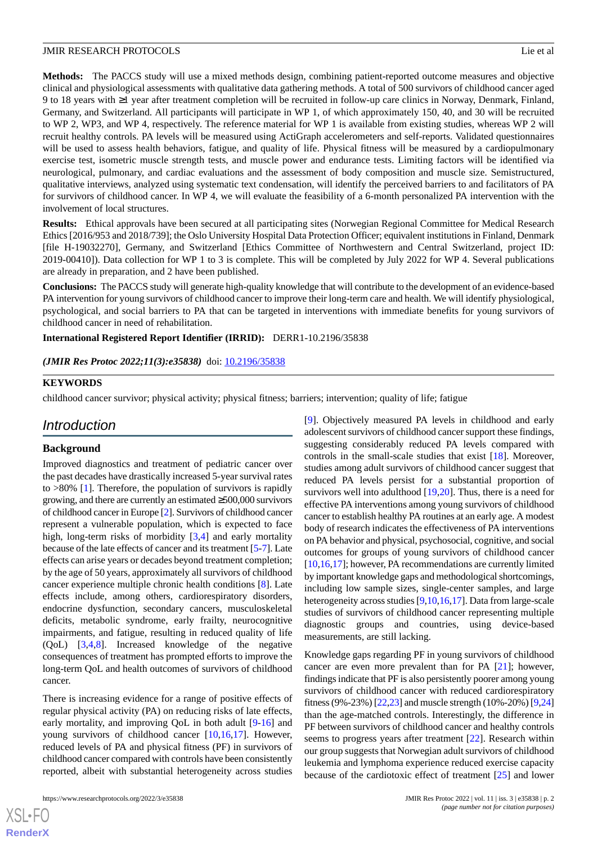**Methods:** The PACCS study will use a mixed methods design, combining patient-reported outcome measures and objective clinical and physiological assessments with qualitative data gathering methods. A total of 500 survivors of childhood cancer aged 9 to 18 years with ≥1 year after treatment completion will be recruited in follow-up care clinics in Norway, Denmark, Finland, Germany, and Switzerland. All participants will participate in WP 1, of which approximately 150, 40, and 30 will be recruited to WP 2, WP3, and WP 4, respectively. The reference material for WP 1 is available from existing studies, whereas WP 2 will recruit healthy controls. PA levels will be measured using ActiGraph accelerometers and self-reports. Validated questionnaires will be used to assess health behaviors, fatigue, and quality of life. Physical fitness will be measured by a cardiopulmonary exercise test, isometric muscle strength tests, and muscle power and endurance tests. Limiting factors will be identified via neurological, pulmonary, and cardiac evaluations and the assessment of body composition and muscle size. Semistructured, qualitative interviews, analyzed using systematic text condensation, will identify the perceived barriers to and facilitators of PA for survivors of childhood cancer. In WP 4, we will evaluate the feasibility of a 6-month personalized PA intervention with the involvement of local structures.

**Results:** Ethical approvals have been secured at all participating sites (Norwegian Regional Committee for Medical Research Ethics [2016/953 and 2018/739]; the Oslo University Hospital Data Protection Officer; equivalent institutions in Finland, Denmark [file H-19032270], Germany, and Switzerland [Ethics Committee of Northwestern and Central Switzerland, project ID: 2019-00410]). Data collection for WP 1 to 3 is complete. This will be completed by July 2022 for WP 4. Several publications are already in preparation, and 2 have been published.

**Conclusions:** The PACCS study will generate high-quality knowledge that will contribute to the development of an evidence-based PA intervention for young survivors of childhood cancer to improve their long-term care and health. We will identify physiological, psychological, and social barriers to PA that can be targeted in interventions with immediate benefits for young survivors of childhood cancer in need of rehabilitation.

**International Registered Report Identifier (IRRID):** DERR1-10.2196/35838

(JMIR Res Protoc 2022;11(3):e35838) doi: [10.2196/35838](http://dx.doi.org/10.2196/35838)

#### **KEYWORDS**

childhood cancer survivor; physical activity; physical fitness; barriers; intervention; quality of life; fatigue

### *Introduction*

### **Background**

Improved diagnostics and treatment of pediatric cancer over the past decades have drastically increased 5-year survival rates to >80% [\[1](#page-12-0)]. Therefore, the population of survivors is rapidly growing, and there are currently an estimated ≥500,000 survivors of childhood cancer in Europe [[2](#page-12-1)]. Survivors of childhood cancer represent a vulnerable population, which is expected to face high, long-term risks of morbidity [\[3,](#page-12-2)[4](#page-12-3)] and early mortality because of the late effects of cancer and its treatment [\[5](#page-12-4)[-7](#page-12-5)]. Late effects can arise years or decades beyond treatment completion; by the age of 50 years, approximately all survivors of childhood cancer experience multiple chronic health conditions [\[8](#page-12-6)]. Late effects include, among others, cardiorespiratory disorders, endocrine dysfunction, secondary cancers, musculoskeletal deficits, metabolic syndrome, early frailty, neurocognitive impairments, and fatigue, resulting in reduced quality of life (QoL) [[3,](#page-12-2)[4](#page-12-3),[8\]](#page-12-6). Increased knowledge of the negative consequences of treatment has prompted efforts to improve the long-term QoL and health outcomes of survivors of childhood cancer.

There is increasing evidence for a range of positive effects of regular physical activity (PA) on reducing risks of late effects, early mortality, and improving QoL in both adult [\[9](#page-12-7)[-16](#page-13-0)] and young survivors of childhood cancer [[10,](#page-12-8)[16](#page-13-0),[17\]](#page-13-1). However, reduced levels of PA and physical fitness (PF) in survivors of childhood cancer compared with controls have been consistently reported, albeit with substantial heterogeneity across studies

[[9\]](#page-12-7). Objectively measured PA levels in childhood and early adolescent survivors of childhood cancer support these findings, suggesting considerably reduced PA levels compared with controls in the small-scale studies that exist [[18\]](#page-13-2). Moreover, studies among adult survivors of childhood cancer suggest that reduced PA levels persist for a substantial proportion of survivors well into adulthood [\[19](#page-13-3)[,20](#page-13-4)]. Thus, there is a need for effective PA interventions among young survivors of childhood cancer to establish healthy PA routines at an early age. A modest body of research indicates the effectiveness of PA interventions on PA behavior and physical, psychosocial, cognitive, and social outcomes for groups of young survivors of childhood cancer [[10](#page-12-8)[,16](#page-13-0),[17\]](#page-13-1); however, PA recommendations are currently limited by important knowledge gaps and methodological shortcomings, including low sample sizes, single-center samples, and large heterogeneity across studies [[9,](#page-12-7)[10](#page-12-8)[,16](#page-13-0),[17\]](#page-13-1). Data from large-scale studies of survivors of childhood cancer representing multiple diagnostic groups and countries, using device-based measurements, are still lacking.

Knowledge gaps regarding PF in young survivors of childhood cancer are even more prevalent than for PA [\[21](#page-13-5)]; however, findings indicate that PF is also persistently poorer among young survivors of childhood cancer with reduced cardiorespiratory fitness (9%-23%) [\[22](#page-13-6)[,23](#page-13-7)] and muscle strength (10%-20%) [\[9](#page-12-7),[24](#page-13-8)] than the age-matched controls. Interestingly, the difference in PF between survivors of childhood cancer and healthy controls seems to progress years after treatment [[22\]](#page-13-6). Research within our group suggests that Norwegian adult survivors of childhood leukemia and lymphoma experience reduced exercise capacity because of the cardiotoxic effect of treatment [[25\]](#page-13-9) and lower

 $XSI - F($ **[RenderX](http://www.renderx.com/)**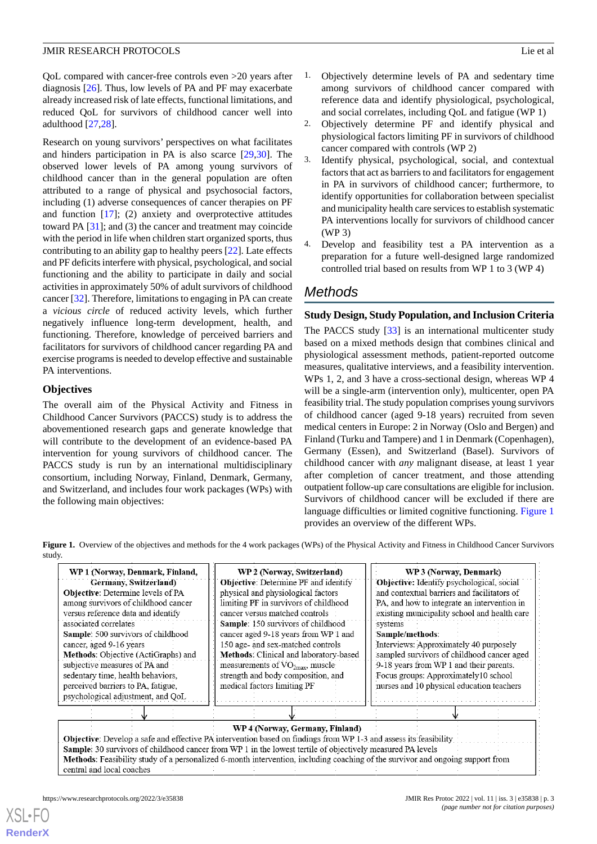QoL compared with cancer-free controls even >20 years after diagnosis [\[26](#page-13-10)]. Thus, low levels of PA and PF may exacerbate already increased risk of late effects, functional limitations, and reduced QoL for survivors of childhood cancer well into adulthood [\[27](#page-13-11),[28\]](#page-13-12).

Research on young survivors' perspectives on what facilitates and hinders participation in PA is also scarce [\[29](#page-13-13),[30\]](#page-13-14). The observed lower levels of PA among young survivors of childhood cancer than in the general population are often attributed to a range of physical and psychosocial factors, including (1) adverse consequences of cancer therapies on PF and function [[17\]](#page-13-1); (2) anxiety and overprotective attitudes toward PA [[31\]](#page-13-15); and (3) the cancer and treatment may coincide with the period in life when children start organized sports, thus contributing to an ability gap to healthy peers [\[22](#page-13-6)]. Late effects and PF deficits interfere with physical, psychological, and social functioning and the ability to participate in daily and social activities in approximately 50% of adult survivors of childhood cancer [[32\]](#page-13-16). Therefore, limitations to engaging in PA can create a *vicious circle* of reduced activity levels, which further negatively influence long-term development, health, and functioning. Therefore, knowledge of perceived barriers and facilitators for survivors of childhood cancer regarding PA and exercise programs is needed to develop effective and sustainable PA interventions.

### **Objectives**

The overall aim of the Physical Activity and Fitness in Childhood Cancer Survivors (PACCS) study is to address the abovementioned research gaps and generate knowledge that will contribute to the development of an evidence-based PA intervention for young survivors of childhood cancer. The PACCS study is run by an international multidisciplinary consortium, including Norway, Finland, Denmark, Germany, and Switzerland, and includes four work packages (WPs) with the following main objectives:

- 1. Objectively determine levels of PA and sedentary time among survivors of childhood cancer compared with reference data and identify physiological, psychological, and social correlates, including QoL and fatigue (WP 1)
- 2. Objectively determine PF and identify physical and physiological factors limiting PF in survivors of childhood cancer compared with controls (WP 2)
- 3. Identify physical, psychological, social, and contextual factors that act as barriers to and facilitators for engagement in PA in survivors of childhood cancer; furthermore, to identify opportunities for collaboration between specialist and municipality health care services to establish systematic PA interventions locally for survivors of childhood cancer (WP 3)
- 4. Develop and feasibility test a PA intervention as a preparation for a future well-designed large randomized controlled trial based on results from WP 1 to 3 (WP 4)

## *Methods*

### **Study Design, Study Population, and Inclusion Criteria**

The PACCS study [\[33](#page-14-0)] is an international multicenter study based on a mixed methods design that combines clinical and physiological assessment methods, patient-reported outcome measures, qualitative interviews, and a feasibility intervention. WPs 1, 2, and 3 have a cross-sectional design, whereas WP 4 will be a single-arm (intervention only), multicenter, open PA feasibility trial. The study population comprises young survivors of childhood cancer (aged 9-18 years) recruited from seven medical centers in Europe: 2 in Norway (Oslo and Bergen) and Finland (Turku and Tampere) and 1 in Denmark (Copenhagen), Germany (Essen), and Switzerland (Basel). Survivors of childhood cancer with *any* malignant disease, at least 1 year after completion of cancer treatment, and those attending outpatient follow-up care consultations are eligible for inclusion. Survivors of childhood cancer will be excluded if there are language difficulties or limited cognitive functioning. [Figure 1](#page-2-0) provides an overview of the different WPs.

<span id="page-2-0"></span>**Figure 1.** Overview of the objectives and methods for the 4 work packages (WPs) of the Physical Activity and Fitness in Childhood Cancer Survivors study.

| WP 1 (Norway, Denmark, Finland,<br>Germany, Switzerland)<br>Objective: Determine levels of PA<br>among survivors of childhood cancer<br>versus reference data and identify<br>associated correlates<br>Sample: 500 survivors of childhood<br>cancer, aged 9-16 years<br><b>Methods:</b> Objective (ActiGraphs) and<br>subjective measures of PA and<br>sedentary time, health behaviors,<br>perceived barriers to PA, fatigue,<br>psychological adjustment, and QoL | WP 2 (Norway, Switzerland)<br><b>Objective:</b> Determine PF and identify<br>physical and physiological factors<br>limiting PF in survivors of childhood<br>cancer versus matched controls<br>Sample: 150 survivors of childhood<br>cancer aged 9-18 years from WP 1 and<br>150 age- and sex-matched controls<br>Methods: Clinical and laboratory-based<br>measurements of $VO2max$ , muscle<br>strength and body composition, and<br>medical factors limiting PF | WP 3 (Norway, Denmark)<br><b>Objective:</b> Identify psychological, social<br>and contextual barriers and facilitators of<br>PA, and how to integrate an intervention in<br>existing municipality school and health care<br>systems<br>Sample/methods:<br>Interviews: Approximately 40 purposely<br>sampled survivors of childhood cancer aged<br>9-18 years from WP 1 and their parents.<br>Focus groups: Approximately10 school<br>nurses and 10 physical education teachers |  |  |  |  |  |
|---------------------------------------------------------------------------------------------------------------------------------------------------------------------------------------------------------------------------------------------------------------------------------------------------------------------------------------------------------------------------------------------------------------------------------------------------------------------|-------------------------------------------------------------------------------------------------------------------------------------------------------------------------------------------------------------------------------------------------------------------------------------------------------------------------------------------------------------------------------------------------------------------------------------------------------------------|--------------------------------------------------------------------------------------------------------------------------------------------------------------------------------------------------------------------------------------------------------------------------------------------------------------------------------------------------------------------------------------------------------------------------------------------------------------------------------|--|--|--|--|--|
|                                                                                                                                                                                                                                                                                                                                                                                                                                                                     |                                                                                                                                                                                                                                                                                                                                                                                                                                                                   |                                                                                                                                                                                                                                                                                                                                                                                                                                                                                |  |  |  |  |  |
| WP 4 (Norway, Germany, Finland)<br>Objective: Develop a safe and effective PA intervention based on findings from WP 1-3 and assess its feasibility<br>Sample: 30 survivors of childhood cancer from WP 1 in the lowest tertile of objectively measured PA levels<br>Methods: Feasibility study of a personalized 6-month intervention, including coaching of the survivor and ongoing support from<br>central and local coaches                                    |                                                                                                                                                                                                                                                                                                                                                                                                                                                                   |                                                                                                                                                                                                                                                                                                                                                                                                                                                                                |  |  |  |  |  |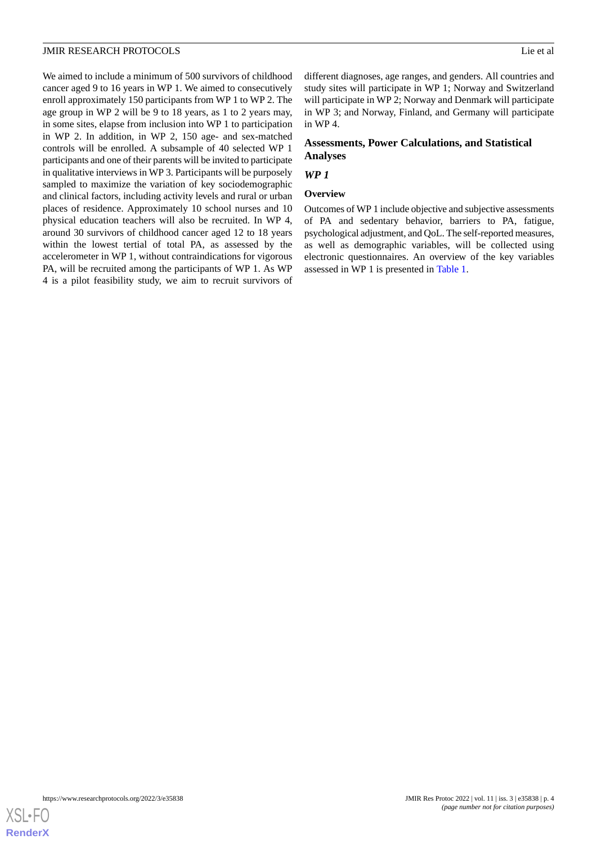We aimed to include a minimum of 500 survivors of childhood cancer aged 9 to 16 years in WP 1. We aimed to consecutively enroll approximately 150 participants from WP 1 to WP 2. The age group in WP 2 will be 9 to 18 years, as 1 to 2 years may, in some sites, elapse from inclusion into WP 1 to participation in WP 2. In addition, in WP 2, 150 age- and sex-matched controls will be enrolled. A subsample of 40 selected WP 1 participants and one of their parents will be invited to participate in qualitative interviews in WP 3. Participants will be purposely sampled to maximize the variation of key sociodemographic and clinical factors, including activity levels and rural or urban places of residence. Approximately 10 school nurses and 10 physical education teachers will also be recruited. In WP 4, around 30 survivors of childhood cancer aged 12 to 18 years within the lowest tertial of total PA, as assessed by the accelerometer in WP 1, without contraindications for vigorous PA, will be recruited among the participants of WP 1. As WP 4 is a pilot feasibility study, we aim to recruit survivors of

different diagnoses, age ranges, and genders. All countries and study sites will participate in WP 1; Norway and Switzerland will participate in WP 2; Norway and Denmark will participate in WP 3; and Norway, Finland, and Germany will participate in WP 4.

### **Assessments, Power Calculations, and Statistical Analyses**

### *WP 1*

### **Overview**

Outcomes of WP 1 include objective and subjective assessments of PA and sedentary behavior, barriers to PA, fatigue, psychological adjustment, and QoL. The self-reported measures, as well as demographic variables, will be collected using electronic questionnaires. An overview of the key variables assessed in WP 1 is presented in [Table 1](#page-4-0).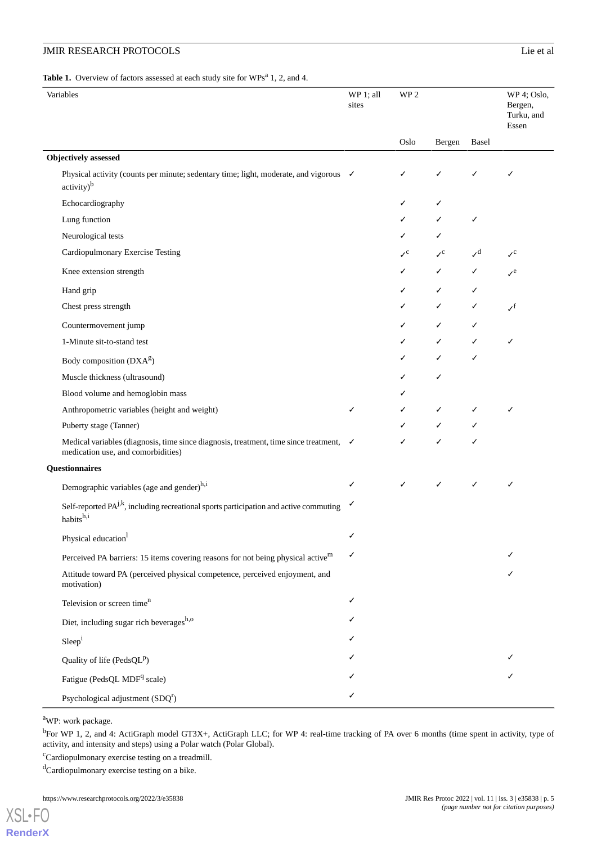### **JMIR RESEARCH PROTOCOLS**

#### <span id="page-4-0"></span>Table 1. Overview of factors assessed at each study site for WPs<sup>a</sup> 1, 2, and 4.

| Variables                                                                                                                               | WP 1; all<br>sites | WP <sub>2</sub>             |                       |                                       | WP 4; Oslo,<br>Bergen,<br>Turku, and<br>Essen |
|-----------------------------------------------------------------------------------------------------------------------------------------|--------------------|-----------------------------|-----------------------|---------------------------------------|-----------------------------------------------|
|                                                                                                                                         |                    | Oslo                        | Bergen                | Basel                                 |                                               |
| <b>Objectively</b> assessed                                                                                                             |                    |                             |                       |                                       |                                               |
| Physical activity (counts per minute; sedentary time; light, moderate, and vigorous √<br>$\text{activity}\right)^b$                     |                    | ✓                           | ✓                     | ✓                                     | ✓                                             |
| Echocardiography                                                                                                                        |                    | ✓                           |                       |                                       |                                               |
| Lung function                                                                                                                           |                    | ✓                           |                       | ✓                                     |                                               |
| Neurological tests                                                                                                                      |                    | ✓                           |                       |                                       |                                               |
| Cardiopulmonary Exercise Testing                                                                                                        |                    | $\mathcal{V}^{\mathcal{C}}$ | $\mathcal{S}^{\rm c}$ | $\boldsymbol{\mathcal{N}}^{\text{d}}$ | $\mathcal{S}^{\rm c}$                         |
| Knee extension strength                                                                                                                 |                    | ✓                           | ✓                     | ✓                                     | $\mathcal{S}^e$                               |
| Hand grip                                                                                                                               |                    | ✓                           | ✓                     | ✓                                     |                                               |
| Chest press strength                                                                                                                    |                    | ✓                           | ✓                     | ✓                                     | $\boldsymbol{\mathcal{N}}^{\text{f}}$         |
| Countermovement jump                                                                                                                    |                    | ✓                           | ✓                     | ✓                                     |                                               |
| 1-Minute sit-to-stand test                                                                                                              |                    | ✓                           | ✓                     | ✓                                     | ✓                                             |
| Body composition (DXA <sup>g</sup> )                                                                                                    |                    | ✓                           |                       | ✓                                     |                                               |
| Muscle thickness (ultrasound)                                                                                                           |                    | ✓                           | ✓                     |                                       |                                               |
| Blood volume and hemoglobin mass                                                                                                        |                    | ✓                           |                       |                                       |                                               |
| Anthropometric variables (height and weight)                                                                                            | ✓                  | ✓                           | ✓                     | ✓                                     | ✓                                             |
| Puberty stage (Tanner)                                                                                                                  |                    | ✓                           |                       | ✓                                     |                                               |
| Medical variables (diagnosis, time since diagnosis, treatment, time since treatment, $\checkmark$<br>medication use, and comorbidities) |                    | ✓                           | ✓                     |                                       |                                               |
| Questionnaires                                                                                                                          |                    |                             |                       |                                       |                                               |
| Demographic variables (age and gender) <sup>h,i</sup>                                                                                   | ✓                  | ✓                           | ✓                     | ✓                                     | ✓                                             |
| Self-reported $PA^{j,k}$ , including recreational sports participation and active commuting<br>habitsh,i                                | ✓                  |                             |                       |                                       |                                               |
| Physical education <sup>1</sup>                                                                                                         | ✓                  |                             |                       |                                       |                                               |
| Perceived PA barriers: 15 items covering reasons for not being physical active <sup>m</sup>                                             | ✓                  |                             |                       |                                       |                                               |
| Attitude toward PA (perceived physical competence, perceived enjoyment, and<br>motivation)                                              |                    |                             |                       |                                       |                                               |
| Television or screen time <sup>n</sup>                                                                                                  | ✓                  |                             |                       |                                       |                                               |
| Diet, including sugar rich beverages <sup>h,o</sup>                                                                                     |                    |                             |                       |                                       |                                               |
| Sleep <sup>i</sup>                                                                                                                      |                    |                             |                       |                                       |                                               |
| Quality of life (Peds $QL^p$ )                                                                                                          |                    |                             |                       |                                       |                                               |
| Fatigue (PedsQL MDF <sup>q</sup> scale)                                                                                                 |                    |                             |                       |                                       |                                               |
| Psychological adjustment $(SDQr)$                                                                                                       | ✓                  |                             |                       |                                       |                                               |

<sup>a</sup>WP: work package.

b<sub>For</sub> WP 1, 2, and 4: ActiGraph model GT3X+, ActiGraph LLC; for WP 4: real-time tracking of PA over 6 months (time spent in activity, type of activity, and intensity and steps) using a Polar watch (Polar Global).

<sup>c</sup>Cardiopulmonary exercise testing on a treadmill.

dCardiopulmonary exercise testing on a bike.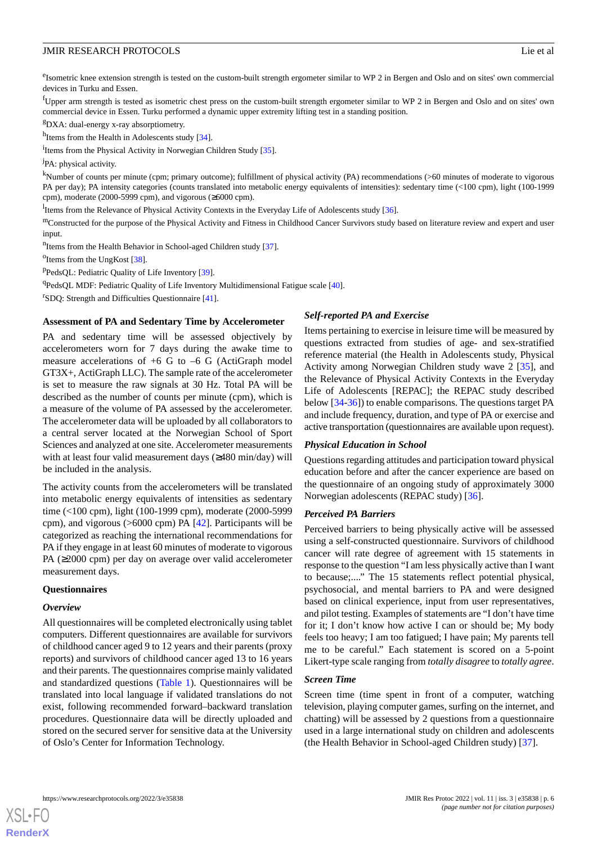<sup>e</sup>Isometric knee extension strength is tested on the custom-built strength ergometer similar to WP 2 in Bergen and Oslo and on sites' own commercial devices in Turku and Essen.

<sup>f</sup>Upper arm strength is tested as isometric chest press on the custom-built strength ergometer similar to WP 2 in Bergen and Oslo and on sites' own commercial device in Essen. Turku performed a dynamic upper extremity lifting test in a standing position.

<sup>g</sup>DXA: dual-energy x-ray absorptiometry.

<sup>h</sup>Items from the Health in Adolescents study [[34](#page-14-1)].

<sup>i</sup>Items from the Physical Activity in Norwegian Children Study [\[35\]](#page-14-2).

<sup>j</sup>PA: physical activity.

<sup>k</sup>Number of counts per minute (cpm; primary outcome); fulfillment of physical activity (PA) recommendations (>60 minutes of moderate to vigorous PA per day); PA intensity categories (counts translated into metabolic energy equivalents of intensities): sedentary time (<100 cpm), light (100-1999 cpm), moderate (2000-5999 cpm), and vigorous (≥6000 cpm).

<sup>1</sup>Items from the Relevance of Physical Activity Contexts in the Everyday Life of Adolescents study [\[36\]](#page-14-3).

mConstructed for the purpose of the Physical Activity and Fitness in Childhood Cancer Survivors study based on literature review and expert and user input.

<sup>n</sup>Items from the Health Behavior in School-aged Children study [[37](#page-14-4)].

<sup>o</sup>Items from the UngKost [[38](#page-14-5)].

<sup>p</sup>PedsQL: Pediatric Quality of Life Inventory [[39](#page-14-6)].

<sup>q</sup>PedsQL MDF: Pediatric Quality of Life Inventory Multidimensional Fatigue scale [[40](#page-14-7)].

<sup>r</sup>SDQ: Strength and Difficulties Questionnaire [[41](#page-14-8)].

#### **Assessment of PA and Sedentary Time by Accelerometer**

PA and sedentary time will be assessed objectively by accelerometers worn for 7 days during the awake time to measure accelerations of +6 G to –6 G (ActiGraph model GT3X+, ActiGraph LLC). The sample rate of the accelerometer is set to measure the raw signals at 30 Hz. Total PA will be described as the number of counts per minute (cpm), which is a measure of the volume of PA assessed by the accelerometer. The accelerometer data will be uploaded by all collaborators to a central server located at the Norwegian School of Sport Sciences and analyzed at one site. Accelerometer measurements with at least four valid measurement days (≥480 min/day) will be included in the analysis.

The activity counts from the accelerometers will be translated into metabolic energy equivalents of intensities as sedentary time (<100 cpm), light (100-1999 cpm), moderate (2000-5999 cpm), and vigorous (>6000 cpm) PA [[42\]](#page-14-9). Participants will be categorized as reaching the international recommendations for PA if they engage in at least 60 minutes of moderate to vigorous PA (≥2000 cpm) per day on average over valid accelerometer measurement days.

#### **Questionnaires**

#### *Overview*

[XSL](http://www.w3.org/Style/XSL)•FO **[RenderX](http://www.renderx.com/)**

All questionnaires will be completed electronically using tablet computers. Different questionnaires are available for survivors of childhood cancer aged 9 to 12 years and their parents (proxy reports) and survivors of childhood cancer aged 13 to 16 years and their parents. The questionnaires comprise mainly validated and standardized questions [\(Table 1](#page-4-0)). Questionnaires will be translated into local language if validated translations do not exist, following recommended forward–backward translation procedures. Questionnaire data will be directly uploaded and stored on the secured server for sensitive data at the University of Oslo's Center for Information Technology.

#### *Self-reported PA and Exercise*

Items pertaining to exercise in leisure time will be measured by questions extracted from studies of age- and sex-stratified reference material (the Health in Adolescents study, Physical Activity among Norwegian Children study wave 2 [[35\]](#page-14-2), and the Relevance of Physical Activity Contexts in the Everyday Life of Adolescents [REPAC]; the REPAC study described below [\[34](#page-14-1)-[36\]](#page-14-3)) to enable comparisons. The questions target PA and include frequency, duration, and type of PA or exercise and active transportation (questionnaires are available upon request).

#### *Physical Education in School*

Questions regarding attitudes and participation toward physical education before and after the cancer experience are based on the questionnaire of an ongoing study of approximately 3000 Norwegian adolescents (REPAC study) [[36\]](#page-14-3).

#### *Perceived PA Barriers*

Perceived barriers to being physically active will be assessed using a self-constructed questionnaire. Survivors of childhood cancer will rate degree of agreement with 15 statements in response to the question "I am less physically active than I want to because;...." The 15 statements reflect potential physical, psychosocial, and mental barriers to PA and were designed based on clinical experience, input from user representatives, and pilot testing. Examples of statements are "I don't have time for it; I don't know how active I can or should be; My body feels too heavy; I am too fatigued; I have pain; My parents tell me to be careful." Each statement is scored on a 5-point Likert-type scale ranging from *totally disagree* to *totally agree*.

#### *Screen Time*

Screen time (time spent in front of a computer, watching television, playing computer games, surfing on the internet, and chatting) will be assessed by 2 questions from a questionnaire used in a large international study on children and adolescents (the Health Behavior in School-aged Children study) [[37\]](#page-14-4).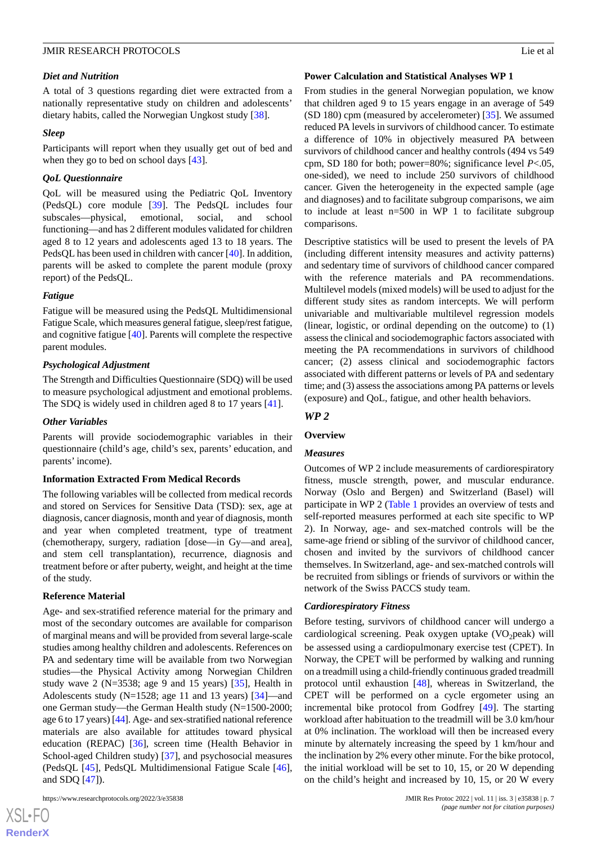#### *Diet and Nutrition*

A total of 3 questions regarding diet were extracted from a nationally representative study on children and adolescents' dietary habits, called the Norwegian Ungkost study [\[38](#page-14-5)].

#### *Sleep*

Participants will report when they usually get out of bed and when they go to bed on school days [\[43](#page-14-10)].

#### *QoL Questionnaire*

QoL will be measured using the Pediatric QoL Inventory (PedsQL) core module [[39\]](#page-14-6). The PedsQL includes four subscales—physical, emotional, social, and school functioning—and has 2 different modules validated for children aged 8 to 12 years and adolescents aged 13 to 18 years. The PedsQL has been used in children with cancer [\[40](#page-14-7)]. In addition, parents will be asked to complete the parent module (proxy report) of the PedsQL.

#### *Fatigue*

Fatigue will be measured using the PedsQL Multidimensional Fatigue Scale, which measures general fatigue, sleep/rest fatigue, and cognitive fatigue [\[40](#page-14-7)]. Parents will complete the respective parent modules.

### *Psychological Adjustment*

The Strength and Difficulties Questionnaire (SDQ) will be used to measure psychological adjustment and emotional problems. The SDQ is widely used in children aged 8 to 17 years [[41\]](#page-14-8).

#### *Other Variables*

Parents will provide sociodemographic variables in their questionnaire (child's age, child's sex, parents' education, and parents' income).

#### **Information Extracted From Medical Records**

The following variables will be collected from medical records and stored on Services for Sensitive Data (TSD): sex, age at diagnosis, cancer diagnosis, month and year of diagnosis, month and year when completed treatment, type of treatment (chemotherapy, surgery, radiation [dose—in Gy—and area], and stem cell transplantation), recurrence, diagnosis and treatment before or after puberty, weight, and height at the time of the study.

### **Reference Material**

Age- and sex-stratified reference material for the primary and most of the secondary outcomes are available for comparison of marginal means and will be provided from several large-scale studies among healthy children and adolescents. References on PA and sedentary time will be available from two Norwegian studies—the Physical Activity among Norwegian Children study wave 2 ( $N=3538$ ; age 9 and 15 years) [ $35$ ], Health in Adolescents study (N=1528; age 11 and 13 years) [[34\]](#page-14-1)—and one German study—the German Health study (N=1500-2000; age 6 to 17 years) [\[44\]](#page-14-11). Age- and sex-stratified national reference materials are also available for attitudes toward physical education (REPAC) [[36\]](#page-14-3), screen time (Health Behavior in School-aged Children study) [\[37](#page-14-4)], and psychosocial measures (PedsQL [[45\]](#page-14-12), PedsQL Multidimensional Fatigue Scale [[46\]](#page-14-13), and SDQ [\[47](#page-14-14)]).

 $XSJ \cdot F$ **[RenderX](http://www.renderx.com/)**

#### **Power Calculation and Statistical Analyses WP 1**

From studies in the general Norwegian population, we know that children aged 9 to 15 years engage in an average of 549 (SD 180) cpm (measured by accelerometer) [\[35](#page-14-2)]. We assumed reduced PA levels in survivors of childhood cancer. To estimate a difference of 10% in objectively measured PA between survivors of childhood cancer and healthy controls (494 vs 549 cpm, SD 180 for both; power=80%; significance level *P*<.05, one-sided), we need to include 250 survivors of childhood cancer. Given the heterogeneity in the expected sample (age and diagnoses) and to facilitate subgroup comparisons, we aim to include at least n=500 in WP 1 to facilitate subgroup comparisons.

Descriptive statistics will be used to present the levels of PA (including different intensity measures and activity patterns) and sedentary time of survivors of childhood cancer compared with the reference materials and PA recommendations. Multilevel models (mixed models) will be used to adjust for the different study sites as random intercepts. We will perform univariable and multivariable multilevel regression models (linear, logistic, or ordinal depending on the outcome) to (1) assess the clinical and sociodemographic factors associated with meeting the PA recommendations in survivors of childhood cancer; (2) assess clinical and sociodemographic factors associated with different patterns or levels of PA and sedentary time; and (3) assess the associations among PA patterns or levels (exposure) and QoL, fatigue, and other health behaviors.

### *WP 2*

### **Overview**

#### *Measures*

Outcomes of WP 2 include measurements of cardiorespiratory fitness, muscle strength, power, and muscular endurance. Norway (Oslo and Bergen) and Switzerland (Basel) will participate in WP 2 [\(Table 1](#page-4-0) provides an overview of tests and self-reported measures performed at each site specific to WP 2). In Norway, age- and sex-matched controls will be the same-age friend or sibling of the survivor of childhood cancer, chosen and invited by the survivors of childhood cancer themselves. In Switzerland, age- and sex-matched controls will be recruited from siblings or friends of survivors or within the network of the Swiss PACCS study team.

#### *Cardiorespiratory Fitness*

Before testing, survivors of childhood cancer will undergo a cardiological screening. Peak oxygen uptake  $(VO_2)$ peak) will be assessed using a cardiopulmonary exercise test (CPET). In Norway, the CPET will be performed by walking and running on a treadmill using a child-friendly continuous graded treadmill protocol until exhaustion [[48\]](#page-14-15), whereas in Switzerland, the CPET will be performed on a cycle ergometer using an incremental bike protocol from Godfrey [[49\]](#page-14-16). The starting workload after habituation to the treadmill will be 3.0 km/hour at 0% inclination. The workload will then be increased every minute by alternately increasing the speed by 1 km/hour and the inclination by 2% every other minute. For the bike protocol, the initial workload will be set to 10, 15, or 20 W depending on the child's height and increased by 10, 15, or 20 W every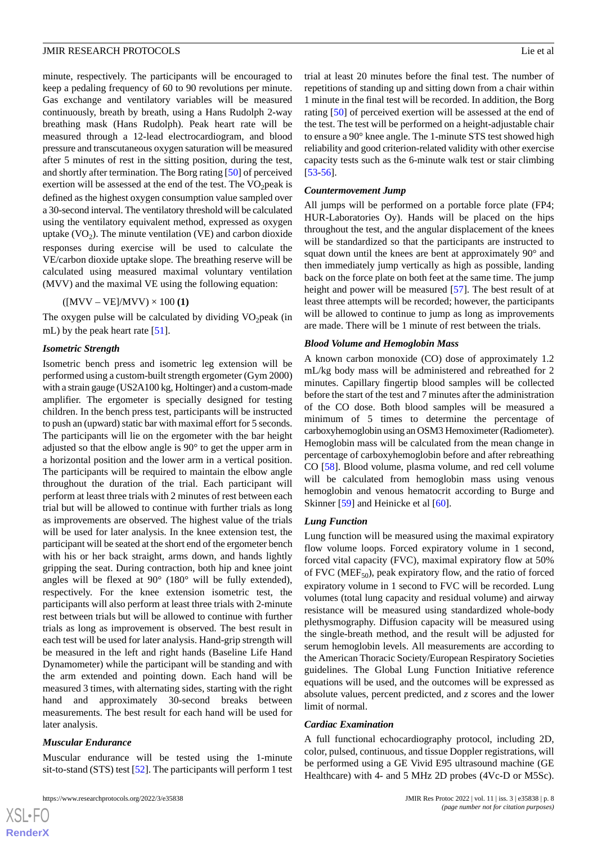minute, respectively. The participants will be encouraged to keep a pedaling frequency of 60 to 90 revolutions per minute. Gas exchange and ventilatory variables will be measured continuously, breath by breath, using a Hans Rudolph 2-way breathing mask (Hans Rudolph). Peak heart rate will be measured through a 12-lead electrocardiogram, and blood pressure and transcutaneous oxygen saturation will be measured after 5 minutes of rest in the sitting position, during the test, and shortly after termination. The Borg rating [[50\]](#page-14-17) of perceived exertion will be assessed at the end of the test. The  $VO<sub>2</sub>peak$  is defined as the highest oxygen consumption value sampled over a 30-second interval. The ventilatory threshold will be calculated using the ventilatory equivalent method, expressed as oxygen uptake  $(VO_2)$ . The minute ventilation  $(VE)$  and carbon dioxide responses during exercise will be used to calculate the VE/carbon dioxide uptake slope. The breathing reserve will be calculated using measured maximal voluntary ventilation (MVV) and the maximal VE using the following equation:

#### $([MVV - VE]/MVV) \times 100(1)$

The oxygen pulse will be calculated by dividing  $VO<sub>2</sub>peak$  (in mL) by the peak heart rate [\[51](#page-14-18)].

#### *Isometric Strength*

Isometric bench press and isometric leg extension will be performed using a custom-built strength ergometer (Gym 2000) with a strain gauge (US2A100 kg, Holtinger) and a custom-made amplifier. The ergometer is specially designed for testing children. In the bench press test, participants will be instructed to push an (upward) static bar with maximal effort for 5 seconds. The participants will lie on the ergometer with the bar height adjusted so that the elbow angle is 90° to get the upper arm in a horizontal position and the lower arm in a vertical position. The participants will be required to maintain the elbow angle throughout the duration of the trial. Each participant will perform at least three trials with 2 minutes of rest between each trial but will be allowed to continue with further trials as long as improvements are observed. The highest value of the trials will be used for later analysis. In the knee extension test, the participant will be seated at the short end of the ergometer bench with his or her back straight, arms down, and hands lightly gripping the seat. During contraction, both hip and knee joint angles will be flexed at 90° (180° will be fully extended), respectively. For the knee extension isometric test, the participants will also perform at least three trials with 2-minute rest between trials but will be allowed to continue with further trials as long as improvement is observed. The best result in each test will be used for later analysis. Hand-grip strength will be measured in the left and right hands (Baseline Life Hand Dynamometer) while the participant will be standing and with the arm extended and pointing down. Each hand will be measured 3 times, with alternating sides, starting with the right hand and approximately 30-second breaks between measurements. The best result for each hand will be used for later analysis.

#### *Muscular Endurance*

Muscular endurance will be tested using the 1-minute sit-to-stand (STS) test [[52\]](#page-14-19). The participants will perform 1 test trial at least 20 minutes before the final test. The number of repetitions of standing up and sitting down from a chair within 1 minute in the final test will be recorded. In addition, the Borg rating [[50\]](#page-14-17) of perceived exertion will be assessed at the end of the test. The test will be performed on a height-adjustable chair to ensure a 90° knee angle. The 1-minute STS test showed high reliability and good criterion-related validity with other exercise capacity tests such as the 6-minute walk test or stair climbing [[53](#page-14-20)[-56](#page-15-0)].

#### *Countermovement Jump*

All jumps will be performed on a portable force plate (FP4; HUR-Laboratories Oy). Hands will be placed on the hips throughout the test, and the angular displacement of the knees will be standardized so that the participants are instructed to squat down until the knees are bent at approximately 90° and then immediately jump vertically as high as possible, landing back on the force plate on both feet at the same time. The jump height and power will be measured [\[57](#page-15-1)]. The best result of at least three attempts will be recorded; however, the participants will be allowed to continue to jump as long as improvements are made. There will be 1 minute of rest between the trials.

#### *Blood Volume and Hemoglobin Mass*

A known carbon monoxide (CO) dose of approximately 1.2 mL/kg body mass will be administered and rebreathed for 2 minutes. Capillary fingertip blood samples will be collected before the start of the test and 7 minutes after the administration of the CO dose. Both blood samples will be measured a minimum of 5 times to determine the percentage of carboxyhemoglobin using an OSM3 Hemoximeter (Radiometer). Hemoglobin mass will be calculated from the mean change in percentage of carboxyhemoglobin before and after rebreathing CO [[58\]](#page-15-2). Blood volume, plasma volume, and red cell volume will be calculated from hemoglobin mass using venous hemoglobin and venous hematocrit according to Burge and Skinner [[59\]](#page-15-3) and Heinicke et al [[60\]](#page-15-4).

#### *Lung Function*

Lung function will be measured using the maximal expiratory flow volume loops. Forced expiratory volume in 1 second, forced vital capacity (FVC), maximal expiratory flow at 50% of FVC ( $MEF_{50}$ ), peak expiratory flow, and the ratio of forced expiratory volume in 1 second to FVC will be recorded. Lung volumes (total lung capacity and residual volume) and airway resistance will be measured using standardized whole-body plethysmography. Diffusion capacity will be measured using the single-breath method, and the result will be adjusted for serum hemoglobin levels. All measurements are according to the American Thoracic Society/European Respiratory Societies guidelines. The Global Lung Function Initiative reference equations will be used, and the outcomes will be expressed as absolute values, percent predicted, and *z* scores and the lower limit of normal.

#### *Cardiac Examination*

A full functional echocardiography protocol, including 2D, color, pulsed, continuous, and tissue Doppler registrations, will be performed using a GE Vivid E95 ultrasound machine (GE Healthcare) with 4- and 5 MHz 2D probes (4Vc-D or M5Sc).

 $XS$  $\cdot$ FC **[RenderX](http://www.renderx.com/)**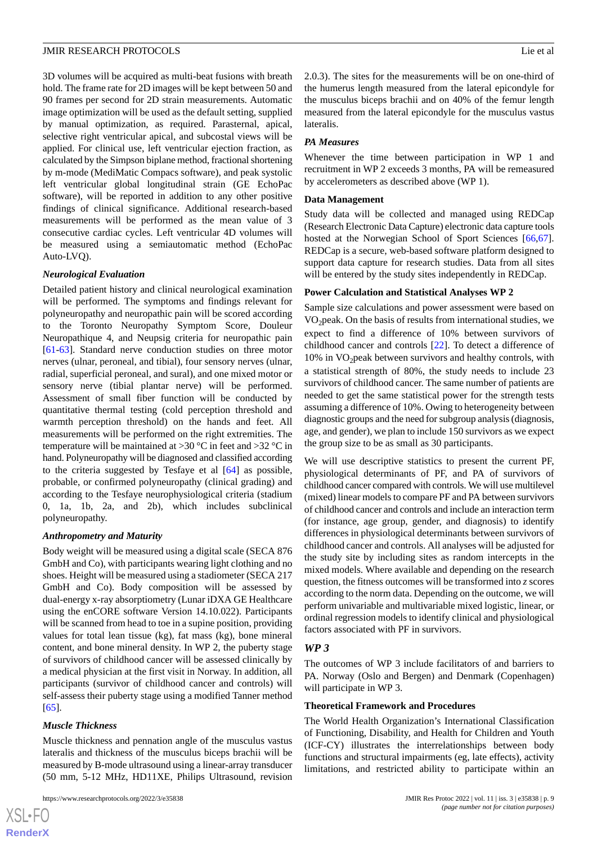3D volumes will be acquired as multi-beat fusions with breath hold. The frame rate for 2D images will be kept between 50 and 90 frames per second for 2D strain measurements. Automatic image optimization will be used as the default setting, supplied by manual optimization, as required. Parasternal, apical, selective right ventricular apical, and subcostal views will be applied. For clinical use, left ventricular ejection fraction, as calculated by the Simpson biplane method, fractional shortening by m-mode (MediMatic Compacs software), and peak systolic left ventricular global longitudinal strain (GE EchoPac software), will be reported in addition to any other positive findings of clinical significance. Additional research-based measurements will be performed as the mean value of 3 consecutive cardiac cycles. Left ventricular 4D volumes will be measured using a semiautomatic method (EchoPac Auto-LVQ).

### *Neurological Evaluation*

Detailed patient history and clinical neurological examination will be performed. The symptoms and findings relevant for polyneuropathy and neuropathic pain will be scored according to the Toronto Neuropathy Symptom Score, Douleur Neuropathique 4, and Neupsig criteria for neuropathic pain [[61](#page-15-5)[-63](#page-15-6)]. Standard nerve conduction studies on three motor nerves (ulnar, peroneal, and tibial), four sensory nerves (ulnar, radial, superficial peroneal, and sural), and one mixed motor or sensory nerve (tibial plantar nerve) will be performed. Assessment of small fiber function will be conducted by quantitative thermal testing (cold perception threshold and warmth perception threshold) on the hands and feet. All measurements will be performed on the right extremities. The temperature will be maintained at  $>30$  °C in feet and  $>32$  °C in hand. Polyneuropathy will be diagnosed and classified according to the criteria suggested by Tesfaye et al [[64\]](#page-15-7) as possible, probable, or confirmed polyneuropathy (clinical grading) and according to the Tesfaye neurophysiological criteria (stadium 0, 1a, 1b, 2a, and 2b), which includes subclinical polyneuropathy.

### *Anthropometry and Maturity*

Body weight will be measured using a digital scale (SECA 876 GmbH and Co), with participants wearing light clothing and no shoes. Height will be measured using a stadiometer (SECA 217 GmbH and Co). Body composition will be assessed by dual-energy x-ray absorptiometry (Lunar iDXA GE Healthcare using the enCORE software Version 14.10.022). Participants will be scanned from head to toe in a supine position, providing values for total lean tissue (kg), fat mass (kg), bone mineral content, and bone mineral density. In WP 2, the puberty stage of survivors of childhood cancer will be assessed clinically by a medical physician at the first visit in Norway. In addition, all participants (survivor of childhood cancer and controls) will self-assess their puberty stage using a modified Tanner method [[65\]](#page-15-8).

### *Muscle Thickness*

 $XS$ -FO **[RenderX](http://www.renderx.com/)**

Muscle thickness and pennation angle of the musculus vastus lateralis and thickness of the musculus biceps brachii will be measured by B-mode ultrasound using a linear-array transducer (50 mm, 5-12 MHz, HD11XE, Philips Ultrasound, revision

```
https://www.researchprotocols.org/2022/3/e35838 JMIR Res Protoc 2022 | vol. 11 | iss. 3 | e35838 | p. 9
```
2.0.3). The sites for the measurements will be on one-third of the humerus length measured from the lateral epicondyle for the musculus biceps brachii and on 40% of the femur length measured from the lateral epicondyle for the musculus vastus lateralis.

### *PA Measures*

Whenever the time between participation in WP 1 and recruitment in WP 2 exceeds 3 months, PA will be remeasured by accelerometers as described above (WP 1).

### **Data Management**

Study data will be collected and managed using REDCap (Research Electronic Data Capture) electronic data capture tools hosted at the Norwegian School of Sport Sciences [\[66](#page-15-9),[67\]](#page-15-10). REDCap is a secure, web-based software platform designed to support data capture for research studies. Data from all sites will be entered by the study sites independently in REDCap.

### **Power Calculation and Statistical Analyses WP 2**

Sample size calculations and power assessment were based on  $VO<sub>2</sub>peak$ . On the basis of results from international studies, we expect to find a difference of 10% between survivors of childhood cancer and controls [\[22](#page-13-6)]. To detect a difference of  $10\%$  in VO<sub>2</sub> peak between survivors and healthy controls, with a statistical strength of 80%, the study needs to include 23 survivors of childhood cancer. The same number of patients are needed to get the same statistical power for the strength tests assuming a difference of 10%. Owing to heterogeneity between diagnostic groups and the need for subgroup analysis (diagnosis, age, and gender), we plan to include 150 survivors as we expect the group size to be as small as 30 participants.

We will use descriptive statistics to present the current PF, physiological determinants of PF, and PA of survivors of childhood cancer compared with controls. We will use multilevel (mixed) linear models to compare PF and PA between survivors of childhood cancer and controls and include an interaction term (for instance, age group, gender, and diagnosis) to identify differences in physiological determinants between survivors of childhood cancer and controls. All analyses will be adjusted for the study site by including sites as random intercepts in the mixed models. Where available and depending on the research question, the fitness outcomes will be transformed into *z* scores according to the norm data. Depending on the outcome, we will perform univariable and multivariable mixed logistic, linear, or ordinal regression models to identify clinical and physiological factors associated with PF in survivors.

### *WP 3*

The outcomes of WP 3 include facilitators of and barriers to PA. Norway (Oslo and Bergen) and Denmark (Copenhagen) will participate in WP 3.

### **Theoretical Framework and Procedures**

The World Health Organization's International Classification of Functioning, Disability, and Health for Children and Youth (ICF-CY) illustrates the interrelationships between body functions and structural impairments (eg, late effects), activity limitations, and restricted ability to participate within an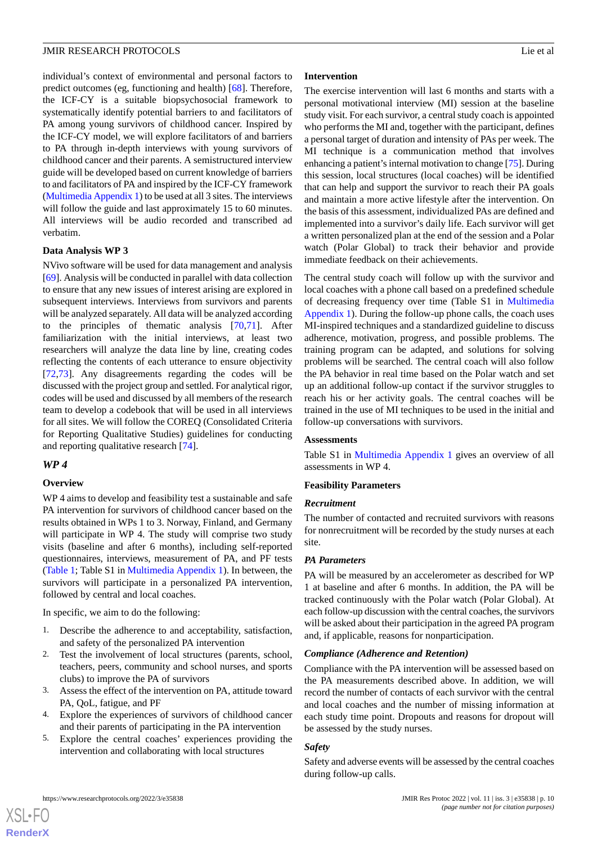individual's context of environmental and personal factors to predict outcomes (eg, functioning and health) [\[68](#page-15-11)]. Therefore, the ICF-CY is a suitable biopsychosocial framework to systematically identify potential barriers to and facilitators of PA among young survivors of childhood cancer. Inspired by the ICF-CY model, we will explore facilitators of and barriers to PA through in-depth interviews with young survivors of childhood cancer and their parents. A semistructured interview guide will be developed based on current knowledge of barriers to and facilitators of PA and inspired by the ICF-CY framework ([Multimedia Appendix 1](#page-12-9)) to be used at all 3 sites. The interviews will follow the guide and last approximately 15 to 60 minutes. All interviews will be audio recorded and transcribed ad verbatim.

#### **Data Analysis WP 3**

NVivo software will be used for data management and analysis [[69\]](#page-15-12). Analysis will be conducted in parallel with data collection to ensure that any new issues of interest arising are explored in subsequent interviews. Interviews from survivors and parents will be analyzed separately. All data will be analyzed according to the principles of thematic analysis [\[70](#page-15-13),[71\]](#page-15-14). After familiarization with the initial interviews, at least two researchers will analyze the data line by line, creating codes reflecting the contents of each utterance to ensure objectivity [[72](#page-15-15)[,73](#page-15-16)]. Any disagreements regarding the codes will be discussed with the project group and settled. For analytical rigor, codes will be used and discussed by all members of the research team to develop a codebook that will be used in all interviews for all sites. We will follow the COREQ (Consolidated Criteria for Reporting Qualitative Studies) guidelines for conducting and reporting qualitative research [\[74](#page-15-17)].

### *WP 4*

### **Overview**

WP 4 aims to develop and feasibility test a sustainable and safe PA intervention for survivors of childhood cancer based on the results obtained in WPs 1 to 3. Norway, Finland, and Germany will participate in WP 4. The study will comprise two study visits (baseline and after 6 months), including self-reported questionnaires, interviews, measurement of PA, and PF tests ([Table 1](#page-4-0); Table S1 in [Multimedia Appendix 1\)](#page-12-9). In between, the survivors will participate in a personalized PA intervention, followed by central and local coaches.

In specific, we aim to do the following:

- 1. Describe the adherence to and acceptability, satisfaction, and safety of the personalized PA intervention
- 2. Test the involvement of local structures (parents, school, teachers, peers, community and school nurses, and sports clubs) to improve the PA of survivors
- 3. Assess the effect of the intervention on PA, attitude toward PA, QoL, fatigue, and PF
- 4. Explore the experiences of survivors of childhood cancer and their parents of participating in the PA intervention
- 5. Explore the central coaches' experiences providing the intervention and collaborating with local structures

#### **Intervention**

The exercise intervention will last 6 months and starts with a personal motivational interview (MI) session at the baseline study visit. For each survivor, a central study coach is appointed who performs the MI and, together with the participant, defines a personal target of duration and intensity of PAs per week. The MI technique is a communication method that involves enhancing a patient's internal motivation to change [\[75](#page-15-18)]. During this session, local structures (local coaches) will be identified that can help and support the survivor to reach their PA goals and maintain a more active lifestyle after the intervention. On the basis of this assessment, individualized PAs are defined and implemented into a survivor's daily life. Each survivor will get a written personalized plan at the end of the session and a Polar watch (Polar Global) to track their behavior and provide immediate feedback on their achievements.

The central study coach will follow up with the survivor and local coaches with a phone call based on a predefined schedule of decreasing frequency over time (Table S1 in [Multimedia](#page-12-9) [Appendix 1](#page-12-9)). During the follow-up phone calls, the coach uses MI-inspired techniques and a standardized guideline to discuss adherence, motivation, progress, and possible problems. The training program can be adapted, and solutions for solving problems will be searched. The central coach will also follow the PA behavior in real time based on the Polar watch and set up an additional follow-up contact if the survivor struggles to reach his or her activity goals. The central coaches will be trained in the use of MI techniques to be used in the initial and follow-up conversations with survivors.

### **Assessments**

Table S1 in [Multimedia Appendix 1](#page-12-9) gives an overview of all assessments in WP 4.

### **Feasibility Parameters**

#### *Recruitment*

The number of contacted and recruited survivors with reasons for nonrecruitment will be recorded by the study nurses at each site.

#### *PA Parameters*

PA will be measured by an accelerometer as described for WP 1 at baseline and after 6 months. In addition, the PA will be tracked continuously with the Polar watch (Polar Global). At each follow-up discussion with the central coaches, the survivors will be asked about their participation in the agreed PA program and, if applicable, reasons for nonparticipation.

### *Compliance (Adherence and Retention)*

Compliance with the PA intervention will be assessed based on the PA measurements described above. In addition, we will record the number of contacts of each survivor with the central and local coaches and the number of missing information at each study time point. Dropouts and reasons for dropout will be assessed by the study nurses.

### *Safety*

Safety and adverse events will be assessed by the central coaches during follow-up calls.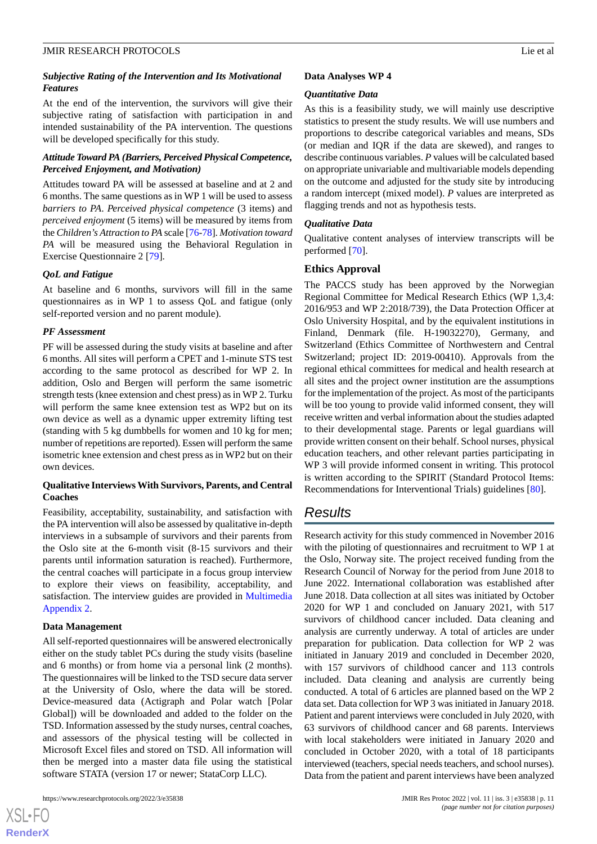At the end of the intervention, the survivors will give their subjective rating of satisfaction with participation in and intended sustainability of the PA intervention. The questions will be developed specifically for this study.

### *Attitude Toward PA (Barriers, Perceived Physical Competence, Perceived Enjoyment, and Motivation)*

Attitudes toward PA will be assessed at baseline and at 2 and 6 months. The same questions as in WP 1 will be used to assess *barriers to PA*. *Perceived physical competence* (3 items) and *perceived enjoyment* (5 items) will be measured by items from the *Children's Attraction to PA* scale [[76](#page-15-19)-[78\]](#page-15-20). *Motivation toward PA* will be measured using the Behavioral Regulation in Exercise Questionnaire 2 [[79\]](#page-15-21).

### *QoL and Fatigue*

At baseline and 6 months, survivors will fill in the same questionnaires as in WP 1 to assess QoL and fatigue (only self-reported version and no parent module).

### *PF Assessment*

PF will be assessed during the study visits at baseline and after 6 months. All sites will perform a CPET and 1-minute STS test according to the same protocol as described for WP 2. In addition, Oslo and Bergen will perform the same isometric strength tests (knee extension and chest press) as in WP 2. Turku will perform the same knee extension test as WP2 but on its own device as well as a dynamic upper extremity lifting test (standing with 5 kg dumbbells for women and 10 kg for men; number of repetitions are reported). Essen will perform the same isometric knee extension and chest press as in WP2 but on their own devices.

### **Qualitative Interviews With Survivors, Parents, and Central Coaches**

Feasibility, acceptability, sustainability, and satisfaction with the PA intervention will also be assessed by qualitative in-depth interviews in a subsample of survivors and their parents from the Oslo site at the 6-month visit (8-15 survivors and their parents until information saturation is reached). Furthermore, the central coaches will participate in a focus group interview to explore their views on feasibility, acceptability, and satisfaction. The interview guides are provided in [Multimedia](#page-12-10) [Appendix 2.](#page-12-10)

### **Data Management**

All self-reported questionnaires will be answered electronically either on the study tablet PCs during the study visits (baseline and 6 months) or from home via a personal link (2 months). The questionnaires will be linked to the TSD secure data server at the University of Oslo, where the data will be stored. Device-measured data (Actigraph and Polar watch [Polar Global]) will be downloaded and added to the folder on the TSD. Information assessed by the study nurses, central coaches, and assessors of the physical testing will be collected in Microsoft Excel files and stored on TSD. All information will then be merged into a master data file using the statistical software STATA (version 17 or newer; StataCorp LLC).

#### **Data Analyses WP 4**

#### *Quantitative Data*

As this is a feasibility study, we will mainly use descriptive statistics to present the study results. We will use numbers and proportions to describe categorical variables and means, SDs (or median and IQR if the data are skewed), and ranges to describe continuous variables. *P* values will be calculated based on appropriate univariable and multivariable models depending on the outcome and adjusted for the study site by introducing a random intercept (mixed model). *P* values are interpreted as flagging trends and not as hypothesis tests.

#### *Qualitative Data*

Qualitative content analyses of interview transcripts will be performed [\[70](#page-15-13)].

### **Ethics Approval**

The PACCS study has been approved by the Norwegian Regional Committee for Medical Research Ethics (WP 1,3,4: 2016/953 and WP 2:2018/739), the Data Protection Officer at Oslo University Hospital, and by the equivalent institutions in Finland, Denmark (file. H-19032270), Germany, and Switzerland (Ethics Committee of Northwestern and Central Switzerland; project ID: 2019-00410). Approvals from the regional ethical committees for medical and health research at all sites and the project owner institution are the assumptions for the implementation of the project. As most of the participants will be too young to provide valid informed consent, they will receive written and verbal information about the studies adapted to their developmental stage. Parents or legal guardians will provide written consent on their behalf. School nurses, physical education teachers, and other relevant parties participating in WP 3 will provide informed consent in writing. This protocol is written according to the SPIRIT (Standard Protocol Items: Recommendations for Interventional Trials) guidelines [[80\]](#page-15-22).

### *Results*

Research activity for this study commenced in November 2016 with the piloting of questionnaires and recruitment to WP 1 at the Oslo, Norway site. The project received funding from the Research Council of Norway for the period from June 2018 to June 2022. International collaboration was established after June 2018. Data collection at all sites was initiated by October 2020 for WP 1 and concluded on January 2021, with 517 survivors of childhood cancer included. Data cleaning and analysis are currently underway. A total of articles are under preparation for publication. Data collection for WP 2 was initiated in January 2019 and concluded in December 2020, with 157 survivors of childhood cancer and 113 controls included. Data cleaning and analysis are currently being conducted. A total of 6 articles are planned based on the WP 2 data set. Data collection for WP 3 was initiated in January 2018. Patient and parent interviews were concluded in July 2020, with 63 survivors of childhood cancer and 68 parents. Interviews with local stakeholders were initiated in January 2020 and concluded in October 2020, with a total of 18 participants interviewed (teachers, special needs teachers, and school nurses). Data from the patient and parent interviews have been analyzed

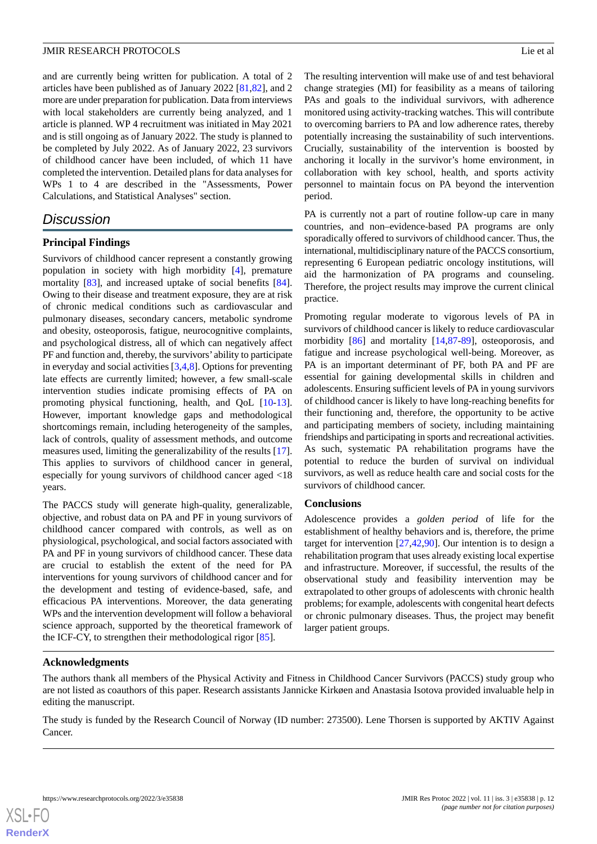and are currently being written for publication. A total of 2 articles have been published as of January 2022 [[81](#page-16-0)[,82](#page-16-1)], and 2 more are under preparation for publication. Data from interviews with local stakeholders are currently being analyzed, and 1 article is planned. WP 4 recruitment was initiated in May 2021 and is still ongoing as of January 2022. The study is planned to be completed by July 2022. As of January 2022, 23 survivors of childhood cancer have been included, of which 11 have completed the intervention. Detailed plans for data analyses for WPs 1 to 4 are described in the "Assessments, Power Calculations, and Statistical Analyses" section.

### *Discussion*

### **Principal Findings**

Survivors of childhood cancer represent a constantly growing population in society with high morbidity [\[4\]](#page-12-3), premature mortality [[83\]](#page-16-2), and increased uptake of social benefits [[84\]](#page-16-3). Owing to their disease and treatment exposure, they are at risk of chronic medical conditions such as cardiovascular and pulmonary diseases, secondary cancers, metabolic syndrome and obesity, osteoporosis, fatigue, neurocognitive complaints, and psychological distress, all of which can negatively affect PF and function and, thereby, the survivors' ability to participate in everyday and social activities [[3](#page-12-2)[,4](#page-12-3),[8\]](#page-12-6). Options for preventing late effects are currently limited; however, a few small-scale intervention studies indicate promising effects of PA on promoting physical functioning, health, and QoL [\[10](#page-12-8)-[13\]](#page-13-17). However, important knowledge gaps and methodological shortcomings remain, including heterogeneity of the samples, lack of controls, quality of assessment methods, and outcome measures used, limiting the generalizability of the results [[17\]](#page-13-1). This applies to survivors of childhood cancer in general, especially for young survivors of childhood cancer aged <18 years.

The PACCS study will generate high-quality, generalizable, objective, and robust data on PA and PF in young survivors of childhood cancer compared with controls, as well as on physiological, psychological, and social factors associated with PA and PF in young survivors of childhood cancer. These data are crucial to establish the extent of the need for PA interventions for young survivors of childhood cancer and for the development and testing of evidence-based, safe, and efficacious PA interventions. Moreover, the data generating WPs and the intervention development will follow a behavioral science approach, supported by the theoretical framework of the ICF-CY, to strengthen their methodological rigor [[85\]](#page-16-4).

The resulting intervention will make use of and test behavioral change strategies (MI) for feasibility as a means of tailoring PAs and goals to the individual survivors, with adherence monitored using activity-tracking watches. This will contribute to overcoming barriers to PA and low adherence rates, thereby potentially increasing the sustainability of such interventions. Crucially, sustainability of the intervention is boosted by anchoring it locally in the survivor's home environment, in collaboration with key school, health, and sports activity personnel to maintain focus on PA beyond the intervention period.

PA is currently not a part of routine follow-up care in many countries, and non–evidence-based PA programs are only sporadically offered to survivors of childhood cancer. Thus, the international, multidisciplinary nature of the PACCS consortium, representing 6 European pediatric oncology institutions, will aid the harmonization of PA programs and counseling. Therefore, the project results may improve the current clinical practice.

Promoting regular moderate to vigorous levels of PA in survivors of childhood cancer is likely to reduce cardiovascular morbidity [\[86](#page-16-5)] and mortality [\[14](#page-13-18),[87-](#page-16-6)[89\]](#page-16-7), osteoporosis, and fatigue and increase psychological well-being. Moreover, as PA is an important determinant of PF, both PA and PF are essential for gaining developmental skills in children and adolescents. Ensuring sufficient levels of PA in young survivors of childhood cancer is likely to have long-reaching benefits for their functioning and, therefore, the opportunity to be active and participating members of society, including maintaining friendships and participating in sports and recreational activities. As such, systematic PA rehabilitation programs have the potential to reduce the burden of survival on individual survivors, as well as reduce health care and social costs for the survivors of childhood cancer.

### **Conclusions**

Adolescence provides a *golden period* of life for the establishment of healthy behaviors and is, therefore, the prime target for intervention [\[27](#page-13-11),[42,](#page-14-9)[90](#page-16-8)]. Our intention is to design a rehabilitation program that uses already existing local expertise and infrastructure. Moreover, if successful, the results of the observational study and feasibility intervention may be extrapolated to other groups of adolescents with chronic health problems; for example, adolescents with congenital heart defects or chronic pulmonary diseases. Thus, the project may benefit larger patient groups.

### **Acknowledgments**

The authors thank all members of the Physical Activity and Fitness in Childhood Cancer Survivors (PACCS) study group who are not listed as coauthors of this paper. Research assistants Jannicke Kirkøen and Anastasia Isotova provided invaluable help in editing the manuscript.

The study is funded by the Research Council of Norway (ID number: 273500). Lene Thorsen is supported by AKTIV Against Cancer.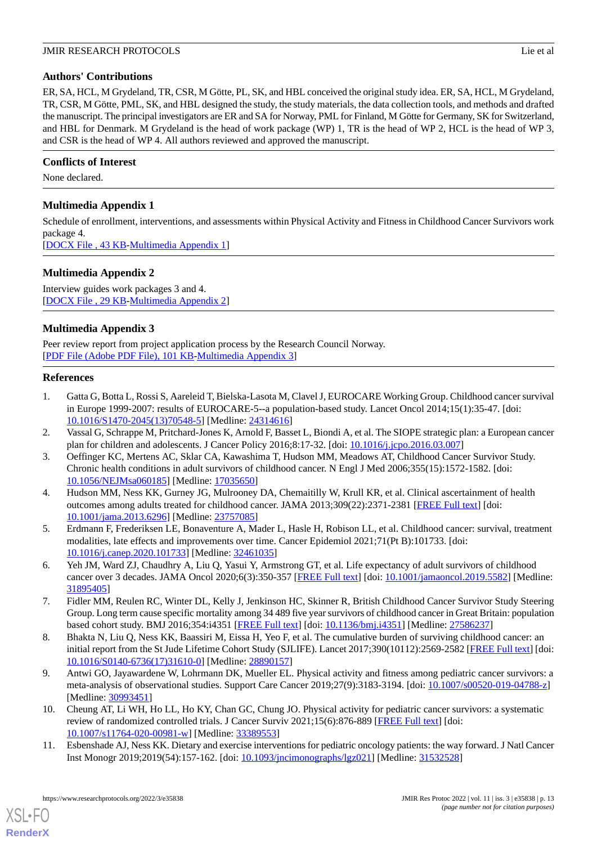### **Authors' Contributions**

ER, SA, HCL, M Grydeland, TR, CSR, M Götte, PL, SK, and HBL conceived the original study idea. ER, SA, HCL, M Grydeland, TR, CSR, M Götte, PML, SK, and HBL designed the study, the study materials, the data collection tools, and methods and drafted the manuscript. The principal investigators are ER and SA for Norway, PML for Finland, M Götte for Germany, SK for Switzerland, and HBL for Denmark. M Grydeland is the head of work package (WP) 1, TR is the head of WP 2, HCL is the head of WP 3, and CSR is the head of WP 4. All authors reviewed and approved the manuscript.

### **Conflicts of Interest**

<span id="page-12-9"></span>None declared.

### **Multimedia Appendix 1**

Schedule of enrollment, interventions, and assessments within Physical Activity and Fitness in Childhood Cancer Survivors work package 4. [[DOCX File , 43 KB](https://jmir.org/api/download?alt_name=resprot_v11i3e35838_app1.docx&filename=2797b6fe3eda61c8a9c012c260039866.docx)-[Multimedia Appendix 1\]](https://jmir.org/api/download?alt_name=resprot_v11i3e35838_app1.docx&filename=2797b6fe3eda61c8a9c012c260039866.docx)

<span id="page-12-10"></span>**Multimedia Appendix 2**

Interview guides work packages 3 and 4. [[DOCX File , 29 KB](https://jmir.org/api/download?alt_name=resprot_v11i3e35838_app2.docx&filename=6ea2e7687ed0c6372f27165345a2b925.docx)-[Multimedia Appendix 2\]](https://jmir.org/api/download?alt_name=resprot_v11i3e35838_app2.docx&filename=6ea2e7687ed0c6372f27165345a2b925.docx)

### **Multimedia Appendix 3**

<span id="page-12-0"></span>Peer review report from project application process by the Research Council Norway. [[PDF File \(Adobe PDF File\), 101 KB](https://jmir.org/api/download?alt_name=resprot_v11i3e35838_app3.pdf&filename=4493d3b34656ae84269cdfb864972a49.pdf)-[Multimedia Appendix 3\]](https://jmir.org/api/download?alt_name=resprot_v11i3e35838_app3.pdf&filename=4493d3b34656ae84269cdfb864972a49.pdf)

### **References**

- <span id="page-12-2"></span><span id="page-12-1"></span>1. Gatta G, Botta L, Rossi S, Aareleid T, Bielska-Lasota M, Clavel J, EUROCARE Working Group. Childhood cancer survival in Europe 1999-2007: results of EUROCARE-5--a population-based study. Lancet Oncol 2014;15(1):35-47. [doi: [10.1016/S1470-2045\(13\)70548-5\]](http://dx.doi.org/10.1016/S1470-2045(13)70548-5) [Medline: [24314616](http://www.ncbi.nlm.nih.gov/entrez/query.fcgi?cmd=Retrieve&db=PubMed&list_uids=24314616&dopt=Abstract)]
- <span id="page-12-3"></span>2. Vassal G, Schrappe M, Pritchard-Jones K, Arnold F, Basset L, Biondi A, et al. The SIOPE strategic plan: a European cancer plan for children and adolescents. J Cancer Policy 2016;8:17-32. [doi: [10.1016/j.jcpo.2016.03.007](http://dx.doi.org/10.1016/j.jcpo.2016.03.007)]
- 3. Oeffinger KC, Mertens AC, Sklar CA, Kawashima T, Hudson MM, Meadows AT, Childhood Cancer Survivor Study. Chronic health conditions in adult survivors of childhood cancer. N Engl J Med 2006;355(15):1572-1582. [doi: [10.1056/NEJMsa060185](http://dx.doi.org/10.1056/NEJMsa060185)] [Medline: [17035650](http://www.ncbi.nlm.nih.gov/entrez/query.fcgi?cmd=Retrieve&db=PubMed&list_uids=17035650&dopt=Abstract)]
- <span id="page-12-4"></span>4. Hudson MM, Ness KK, Gurney JG, Mulrooney DA, Chemaitilly W, Krull KR, et al. Clinical ascertainment of health outcomes among adults treated for childhood cancer. JAMA 2013;309(22):2371-2381 [[FREE Full text](http://europepmc.org/abstract/MED/23757085)] [doi: [10.1001/jama.2013.6296](http://dx.doi.org/10.1001/jama.2013.6296)] [Medline: [23757085](http://www.ncbi.nlm.nih.gov/entrez/query.fcgi?cmd=Retrieve&db=PubMed&list_uids=23757085&dopt=Abstract)]
- <span id="page-12-5"></span>5. Erdmann F, Frederiksen LE, Bonaventure A, Mader L, Hasle H, Robison LL, et al. Childhood cancer: survival, treatment modalities, late effects and improvements over time. Cancer Epidemiol 2021;71(Pt B):101733. [doi: [10.1016/j.canep.2020.101733](http://dx.doi.org/10.1016/j.canep.2020.101733)] [Medline: [32461035](http://www.ncbi.nlm.nih.gov/entrez/query.fcgi?cmd=Retrieve&db=PubMed&list_uids=32461035&dopt=Abstract)]
- <span id="page-12-6"></span>6. Yeh JM, Ward ZJ, Chaudhry A, Liu Q, Yasui Y, Armstrong GT, et al. Life expectancy of adult survivors of childhood cancer over 3 decades. JAMA Oncol 2020;6(3):350-357 [[FREE Full text](http://europepmc.org/abstract/MED/31895405)] [doi: [10.1001/jamaoncol.2019.5582](http://dx.doi.org/10.1001/jamaoncol.2019.5582)] [Medline: [31895405](http://www.ncbi.nlm.nih.gov/entrez/query.fcgi?cmd=Retrieve&db=PubMed&list_uids=31895405&dopt=Abstract)]
- <span id="page-12-7"></span>7. Fidler MM, Reulen RC, Winter DL, Kelly J, Jenkinson HC, Skinner R, British Childhood Cancer Survivor Study Steering Group. Long term cause specific mortality among 34 489 five year survivors of childhood cancer in Great Britain: population based cohort study. BMJ 2016;354:i4351 [[FREE Full text](http://www.bmj.com/lookup/pmidlookup?view=long&pmid=27586237)] [doi: [10.1136/bmj.i4351\]](http://dx.doi.org/10.1136/bmj.i4351) [Medline: [27586237](http://www.ncbi.nlm.nih.gov/entrez/query.fcgi?cmd=Retrieve&db=PubMed&list_uids=27586237&dopt=Abstract)]
- <span id="page-12-8"></span>8. Bhakta N, Liu Q, Ness KK, Baassiri M, Eissa H, Yeo F, et al. The cumulative burden of surviving childhood cancer: an initial report from the St Jude Lifetime Cohort Study (SJLIFE). Lancet 2017;390(10112):2569-2582 [[FREE Full text](http://europepmc.org/abstract/MED/28890157)] [doi: [10.1016/S0140-6736\(17\)31610-0\]](http://dx.doi.org/10.1016/S0140-6736(17)31610-0) [Medline: [28890157](http://www.ncbi.nlm.nih.gov/entrez/query.fcgi?cmd=Retrieve&db=PubMed&list_uids=28890157&dopt=Abstract)]
- 9. Antwi GO, Jayawardene W, Lohrmann DK, Mueller EL. Physical activity and fitness among pediatric cancer survivors: a meta-analysis of observational studies. Support Care Cancer 2019;27(9):3183-3194. [doi: [10.1007/s00520-019-04788-z\]](http://dx.doi.org/10.1007/s00520-019-04788-z) [Medline: [30993451](http://www.ncbi.nlm.nih.gov/entrez/query.fcgi?cmd=Retrieve&db=PubMed&list_uids=30993451&dopt=Abstract)]
- 10. Cheung AT, Li WH, Ho LL, Ho KY, Chan GC, Chung JO. Physical activity for pediatric cancer survivors: a systematic review of randomized controlled trials. J Cancer Surviv 2021;15(6):876-889 [[FREE Full text](http://europepmc.org/abstract/MED/33389553)] [doi: [10.1007/s11764-020-00981-w\]](http://dx.doi.org/10.1007/s11764-020-00981-w) [Medline: [33389553\]](http://www.ncbi.nlm.nih.gov/entrez/query.fcgi?cmd=Retrieve&db=PubMed&list_uids=33389553&dopt=Abstract)
- 11. Esbenshade AJ, Ness KK. Dietary and exercise interventions for pediatric oncology patients: the way forward. J Natl Cancer Inst Monogr 2019;2019(54):157-162. [doi: [10.1093/jncimonographs/lgz021](http://dx.doi.org/10.1093/jncimonographs/lgz021)] [Medline: [31532528](http://www.ncbi.nlm.nih.gov/entrez/query.fcgi?cmd=Retrieve&db=PubMed&list_uids=31532528&dopt=Abstract)]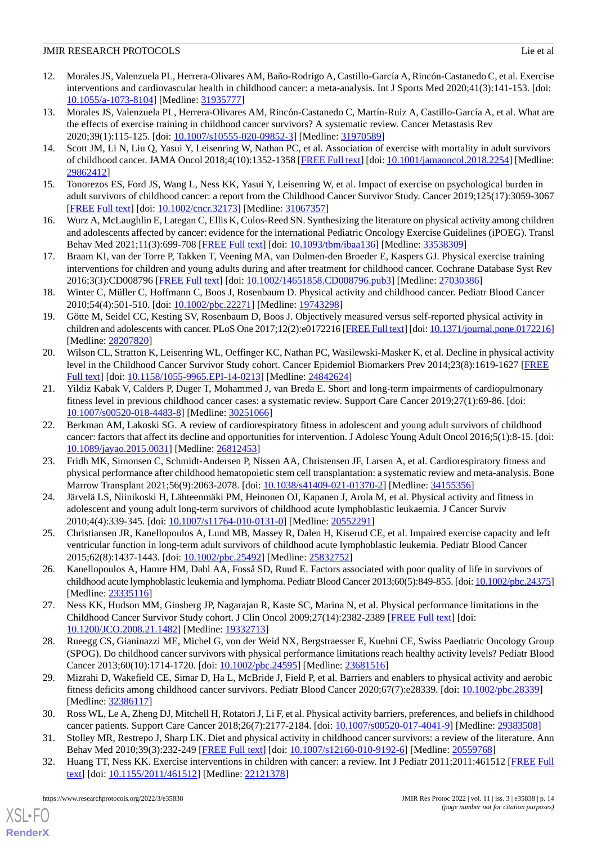- 12. Morales JS, Valenzuela PL, Herrera-Olivares AM, Baño-Rodrigo A, Castillo-García A, Rincón-Castanedo C, et al. Exercise interventions and cardiovascular health in childhood cancer: a meta-analysis. Int J Sports Med 2020;41(3):141-153. [doi: [10.1055/a-1073-8104\]](http://dx.doi.org/10.1055/a-1073-8104) [Medline: [31935777\]](http://www.ncbi.nlm.nih.gov/entrez/query.fcgi?cmd=Retrieve&db=PubMed&list_uids=31935777&dopt=Abstract)
- <span id="page-13-17"></span>13. Morales JS, Valenzuela PL, Herrera-Olivares AM, Rincón-Castanedo C, Martín-Ruiz A, Castillo-García A, et al. What are the effects of exercise training in childhood cancer survivors? A systematic review. Cancer Metastasis Rev 2020;39(1):115-125. [doi: [10.1007/s10555-020-09852-3\]](http://dx.doi.org/10.1007/s10555-020-09852-3) [Medline: [31970589](http://www.ncbi.nlm.nih.gov/entrez/query.fcgi?cmd=Retrieve&db=PubMed&list_uids=31970589&dopt=Abstract)]
- <span id="page-13-18"></span>14. Scott JM, Li N, Liu Q, Yasui Y, Leisenring W, Nathan PC, et al. Association of exercise with mortality in adult survivors of childhood cancer. JAMA Oncol 2018;4(10):1352-1358 [\[FREE Full text\]](http://europepmc.org/abstract/MED/29862412) [doi: [10.1001/jamaoncol.2018.2254\]](http://dx.doi.org/10.1001/jamaoncol.2018.2254) [Medline: [29862412](http://www.ncbi.nlm.nih.gov/entrez/query.fcgi?cmd=Retrieve&db=PubMed&list_uids=29862412&dopt=Abstract)]
- <span id="page-13-0"></span>15. Tonorezos ES, Ford JS, Wang L, Ness KK, Yasui Y, Leisenring W, et al. Impact of exercise on psychological burden in adult survivors of childhood cancer: a report from the Childhood Cancer Survivor Study. Cancer 2019;125(17):3059-3067 [[FREE Full text](https://doi.org/10.1002/cncr.32173)] [doi: [10.1002/cncr.32173\]](http://dx.doi.org/10.1002/cncr.32173) [Medline: [31067357\]](http://www.ncbi.nlm.nih.gov/entrez/query.fcgi?cmd=Retrieve&db=PubMed&list_uids=31067357&dopt=Abstract)
- <span id="page-13-1"></span>16. Wurz A, McLaughlin E, Lategan C, Ellis K, Culos-Reed SN. Synthesizing the literature on physical activity among children and adolescents affected by cancer: evidence for the international Pediatric Oncology Exercise Guidelines (iPOEG). Transl Behav Med 2021;11(3):699-708 [[FREE Full text](http://europepmc.org/abstract/MED/33538309)] [doi: [10.1093/tbm/ibaa136](http://dx.doi.org/10.1093/tbm/ibaa136)] [Medline: [33538309](http://www.ncbi.nlm.nih.gov/entrez/query.fcgi?cmd=Retrieve&db=PubMed&list_uids=33538309&dopt=Abstract)]
- <span id="page-13-2"></span>17. Braam KI, van der Torre P, Takken T, Veening MA, van Dulmen-den Broeder E, Kaspers GJ. Physical exercise training interventions for children and young adults during and after treatment for childhood cancer. Cochrane Database Syst Rev 2016;3(3):CD008796 [\[FREE Full text\]](http://europepmc.org/abstract/MED/27030386) [doi: [10.1002/14651858.CD008796.pub3](http://dx.doi.org/10.1002/14651858.CD008796.pub3)] [Medline: [27030386](http://www.ncbi.nlm.nih.gov/entrez/query.fcgi?cmd=Retrieve&db=PubMed&list_uids=27030386&dopt=Abstract)]
- <span id="page-13-3"></span>18. Winter C, Müller C, Hoffmann C, Boos J, Rosenbaum D. Physical activity and childhood cancer. Pediatr Blood Cancer 2010;54(4):501-510. [doi: [10.1002/pbc.22271\]](http://dx.doi.org/10.1002/pbc.22271) [Medline: [19743298](http://www.ncbi.nlm.nih.gov/entrez/query.fcgi?cmd=Retrieve&db=PubMed&list_uids=19743298&dopt=Abstract)]
- <span id="page-13-4"></span>19. Götte M, Seidel CC, Kesting SV, Rosenbaum D, Boos J. Objectively measured versus self-reported physical activity in children and adolescents with cancer. PLoS One 2017;12(2):e0172216 [[FREE Full text](https://dx.plos.org/10.1371/journal.pone.0172216)] [doi: [10.1371/journal.pone.0172216\]](http://dx.doi.org/10.1371/journal.pone.0172216) [Medline: [28207820](http://www.ncbi.nlm.nih.gov/entrez/query.fcgi?cmd=Retrieve&db=PubMed&list_uids=28207820&dopt=Abstract)]
- <span id="page-13-5"></span>20. Wilson CL, Stratton K, Leisenring WL, Oeffinger KC, Nathan PC, Wasilewski-Masker K, et al. Decline in physical activity level in the Childhood Cancer Survivor Study cohort. Cancer Epidemiol Biomarkers Prev 2014;23(8):1619-1627 [\[FREE](http://cebp.aacrjournals.org/cgi/pmidlookup?view=long&pmid=24842624) [Full text\]](http://cebp.aacrjournals.org/cgi/pmidlookup?view=long&pmid=24842624) [doi: [10.1158/1055-9965.EPI-14-0213\]](http://dx.doi.org/10.1158/1055-9965.EPI-14-0213) [Medline: [24842624\]](http://www.ncbi.nlm.nih.gov/entrez/query.fcgi?cmd=Retrieve&db=PubMed&list_uids=24842624&dopt=Abstract)
- <span id="page-13-6"></span>21. Yildiz Kabak V, Calders P, Duger T, Mohammed J, van Breda E. Short and long-term impairments of cardiopulmonary fitness level in previous childhood cancer cases: a systematic review. Support Care Cancer 2019;27(1):69-86. [doi: [10.1007/s00520-018-4483-8\]](http://dx.doi.org/10.1007/s00520-018-4483-8) [Medline: [30251066](http://www.ncbi.nlm.nih.gov/entrez/query.fcgi?cmd=Retrieve&db=PubMed&list_uids=30251066&dopt=Abstract)]
- <span id="page-13-7"></span>22. Berkman AM, Lakoski SG. A review of cardiorespiratory fitness in adolescent and young adult survivors of childhood cancer: factors that affect its decline and opportunities for intervention. J Adolesc Young Adult Oncol 2016;5(1):8-15. [doi: [10.1089/jayao.2015.0031](http://dx.doi.org/10.1089/jayao.2015.0031)] [Medline: [26812453](http://www.ncbi.nlm.nih.gov/entrez/query.fcgi?cmd=Retrieve&db=PubMed&list_uids=26812453&dopt=Abstract)]
- <span id="page-13-8"></span>23. Fridh MK, Simonsen C, Schmidt-Andersen P, Nissen AA, Christensen JF, Larsen A, et al. Cardiorespiratory fitness and physical performance after childhood hematopoietic stem cell transplantation: a systematic review and meta-analysis. Bone Marrow Transplant 2021;56(9):2063-2078. [doi: [10.1038/s41409-021-01370-2](http://dx.doi.org/10.1038/s41409-021-01370-2)] [Medline: [34155356\]](http://www.ncbi.nlm.nih.gov/entrez/query.fcgi?cmd=Retrieve&db=PubMed&list_uids=34155356&dopt=Abstract)
- <span id="page-13-10"></span><span id="page-13-9"></span>24. Järvelä LS, Niinikoski H, Lähteenmäki PM, Heinonen OJ, Kapanen J, Arola M, et al. Physical activity and fitness in adolescent and young adult long-term survivors of childhood acute lymphoblastic leukaemia. J Cancer Surviv 2010;4(4):339-345. [doi: [10.1007/s11764-010-0131-0\]](http://dx.doi.org/10.1007/s11764-010-0131-0) [Medline: [20552291](http://www.ncbi.nlm.nih.gov/entrez/query.fcgi?cmd=Retrieve&db=PubMed&list_uids=20552291&dopt=Abstract)]
- <span id="page-13-11"></span>25. Christiansen JR, Kanellopoulos A, Lund MB, Massey R, Dalen H, Kiserud CE, et al. Impaired exercise capacity and left ventricular function in long-term adult survivors of childhood acute lymphoblastic leukemia. Pediatr Blood Cancer 2015;62(8):1437-1443. [doi: [10.1002/pbc.25492\]](http://dx.doi.org/10.1002/pbc.25492) [Medline: [25832752](http://www.ncbi.nlm.nih.gov/entrez/query.fcgi?cmd=Retrieve&db=PubMed&list_uids=25832752&dopt=Abstract)]
- <span id="page-13-12"></span>26. Kanellopoulos A, Hamre HM, Dahl AA, Fosså SD, Ruud E. Factors associated with poor quality of life in survivors of childhood acute lymphoblastic leukemia and lymphoma. Pediatr Blood Cancer 2013;60(5):849-855. [doi: [10.1002/pbc.24375\]](http://dx.doi.org/10.1002/pbc.24375) [Medline: [23335116](http://www.ncbi.nlm.nih.gov/entrez/query.fcgi?cmd=Retrieve&db=PubMed&list_uids=23335116&dopt=Abstract)]
- <span id="page-13-13"></span>27. Ness KK, Hudson MM, Ginsberg JP, Nagarajan R, Kaste SC, Marina N, et al. Physical performance limitations in the Childhood Cancer Survivor Study cohort. J Clin Oncol 2009;27(14):2382-2389 [[FREE Full text](http://europepmc.org/abstract/MED/19332713)] [doi: [10.1200/JCO.2008.21.1482](http://dx.doi.org/10.1200/JCO.2008.21.1482)] [Medline: [19332713\]](http://www.ncbi.nlm.nih.gov/entrez/query.fcgi?cmd=Retrieve&db=PubMed&list_uids=19332713&dopt=Abstract)
- <span id="page-13-14"></span>28. Rueegg CS, Gianinazzi ME, Michel G, von der Weid NX, Bergstraesser E, Kuehni CE, Swiss Paediatric Oncology Group (SPOG). Do childhood cancer survivors with physical performance limitations reach healthy activity levels? Pediatr Blood Cancer 2013;60(10):1714-1720. [doi: [10.1002/pbc.24595](http://dx.doi.org/10.1002/pbc.24595)] [Medline: [23681516](http://www.ncbi.nlm.nih.gov/entrez/query.fcgi?cmd=Retrieve&db=PubMed&list_uids=23681516&dopt=Abstract)]
- <span id="page-13-16"></span><span id="page-13-15"></span>29. Mizrahi D, Wakefield CE, Simar D, Ha L, McBride J, Field P, et al. Barriers and enablers to physical activity and aerobic fitness deficits among childhood cancer survivors. Pediatr Blood Cancer 2020;67(7):e28339. [doi: [10.1002/pbc.28339](http://dx.doi.org/10.1002/pbc.28339)] [Medline: [32386117](http://www.ncbi.nlm.nih.gov/entrez/query.fcgi?cmd=Retrieve&db=PubMed&list_uids=32386117&dopt=Abstract)]
- 30. Ross WL, Le A, Zheng DJ, Mitchell H, Rotatori J, Li F, et al. Physical activity barriers, preferences, and beliefs in childhood cancer patients. Support Care Cancer 2018;26(7):2177-2184. [doi: [10.1007/s00520-017-4041-9\]](http://dx.doi.org/10.1007/s00520-017-4041-9) [Medline: [29383508](http://www.ncbi.nlm.nih.gov/entrez/query.fcgi?cmd=Retrieve&db=PubMed&list_uids=29383508&dopt=Abstract)]
- 31. Stolley MR, Restrepo J, Sharp LK. Diet and physical activity in childhood cancer survivors: a review of the literature. Ann Behav Med 2010;39(3):232-249 [[FREE Full text](http://europepmc.org/abstract/MED/20559768)] [doi: [10.1007/s12160-010-9192-6](http://dx.doi.org/10.1007/s12160-010-9192-6)] [Medline: [20559768](http://www.ncbi.nlm.nih.gov/entrez/query.fcgi?cmd=Retrieve&db=PubMed&list_uids=20559768&dopt=Abstract)]
- 32. Huang TT, Ness KK. Exercise interventions in children with cancer: a review. Int J Pediatr 2011;2011:461512 [[FREE Full](https://doi.org/10.1155/2011/461512) [text](https://doi.org/10.1155/2011/461512)] [doi: [10.1155/2011/461512\]](http://dx.doi.org/10.1155/2011/461512) [Medline: [22121378](http://www.ncbi.nlm.nih.gov/entrez/query.fcgi?cmd=Retrieve&db=PubMed&list_uids=22121378&dopt=Abstract)]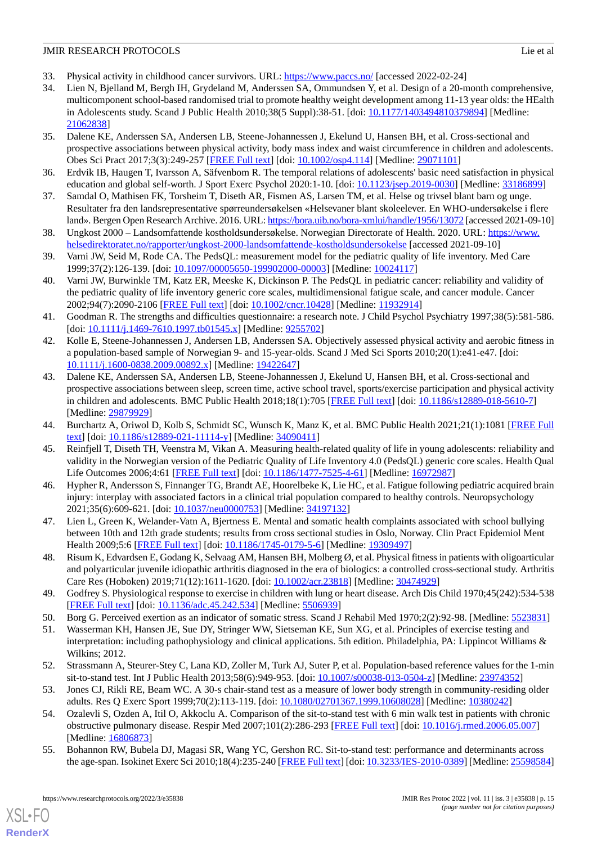- <span id="page-14-1"></span><span id="page-14-0"></span>33. Physical activity in childhood cancer survivors. URL: <https://www.paccs.no/> [accessed 2022-02-24]
- 34. Lien N, Bjelland M, Bergh IH, Grydeland M, Anderssen SA, Ommundsen Y, et al. Design of a 20-month comprehensive, multicomponent school-based randomised trial to promote healthy weight development among 11-13 year olds: the HEalth in Adolescents study. Scand J Public Health 2010;38(5 Suppl):38-51. [doi: [10.1177/1403494810379894\]](http://dx.doi.org/10.1177/1403494810379894) [Medline: [21062838](http://www.ncbi.nlm.nih.gov/entrez/query.fcgi?cmd=Retrieve&db=PubMed&list_uids=21062838&dopt=Abstract)]
- <span id="page-14-2"></span>35. Dalene KE, Anderssen SA, Andersen LB, Steene-Johannessen J, Ekelund U, Hansen BH, et al. Cross-sectional and prospective associations between physical activity, body mass index and waist circumference in children and adolescents. Obes Sci Pract 2017;3(3):249-257 [\[FREE Full text\]](http://europepmc.org/abstract/MED/29071101) [doi: [10.1002/osp4.114\]](http://dx.doi.org/10.1002/osp4.114) [Medline: [29071101](http://www.ncbi.nlm.nih.gov/entrez/query.fcgi?cmd=Retrieve&db=PubMed&list_uids=29071101&dopt=Abstract)]
- <span id="page-14-4"></span><span id="page-14-3"></span>36. Erdvik IB, Haugen T, Ivarsson A, Säfvenbom R. The temporal relations of adolescents' basic need satisfaction in physical education and global self-worth. J Sport Exerc Psychol 2020:1-10. [doi: [10.1123/jsep.2019-0030\]](http://dx.doi.org/10.1123/jsep.2019-0030) [Medline: [33186899](http://www.ncbi.nlm.nih.gov/entrez/query.fcgi?cmd=Retrieve&db=PubMed&list_uids=33186899&dopt=Abstract)]
- <span id="page-14-5"></span>37. Samdal O, Mathisen FK, Torsheim T, Diseth AR, Fismen AS, Larsen TM, et al. Helse og trivsel blant barn og unge. Resultater fra den landsrepresentative spørreundersøkelsen «Helsevaner blant skoleelever. En WHO-undersøkelse i flere land». Bergen Open Research Archive. 2016. URL:<https://bora.uib.no/bora-xmlui/handle/1956/13072> [accessed 2021-09-10]
- <span id="page-14-6"></span>38. Ungkost 2000 – Landsomfattende kostholdsundersøkelse. Norwegian Directorate of Health. 2020. URL: [https://www.](https://www.helsedirektoratet.no/rapporter/ungkost-2000-landsomfattende-kostholdsundersokelse) [helsedirektoratet.no/rapporter/ungkost-2000-landsomfattende-kostholdsundersokelse](https://www.helsedirektoratet.no/rapporter/ungkost-2000-landsomfattende-kostholdsundersokelse) [accessed 2021-09-10]
- <span id="page-14-7"></span>39. Varni JW, Seid M, Rode CA. The PedsQL: measurement model for the pediatric quality of life inventory. Med Care 1999;37(2):126-139. [doi: [10.1097/00005650-199902000-00003](http://dx.doi.org/10.1097/00005650-199902000-00003)] [Medline: [10024117](http://www.ncbi.nlm.nih.gov/entrez/query.fcgi?cmd=Retrieve&db=PubMed&list_uids=10024117&dopt=Abstract)]
- <span id="page-14-8"></span>40. Varni JW, Burwinkle TM, Katz ER, Meeske K, Dickinson P. The PedsQL in pediatric cancer: reliability and validity of the pediatric quality of life inventory generic core scales, multidimensional fatigue scale, and cancer module. Cancer 2002;94(7):2090-2106 [[FREE Full text](https://onlinelibrary.wiley.com/resolve/openurl?genre=article&sid=nlm:pubmed&issn=0008-543X&date=2002&volume=94&issue=7&spage=2090)] [doi: [10.1002/cncr.10428\]](http://dx.doi.org/10.1002/cncr.10428) [Medline: [11932914\]](http://www.ncbi.nlm.nih.gov/entrez/query.fcgi?cmd=Retrieve&db=PubMed&list_uids=11932914&dopt=Abstract)
- <span id="page-14-9"></span>41. Goodman R. The strengths and difficulties questionnaire: a research note. J Child Psychol Psychiatry 1997;38(5):581-586. [doi: [10.1111/j.1469-7610.1997.tb01545.x](http://dx.doi.org/10.1111/j.1469-7610.1997.tb01545.x)] [Medline: [9255702\]](http://www.ncbi.nlm.nih.gov/entrez/query.fcgi?cmd=Retrieve&db=PubMed&list_uids=9255702&dopt=Abstract)
- <span id="page-14-10"></span>42. Kolle E, Steene-Johannessen J, Andersen LB, Anderssen SA. Objectively assessed physical activity and aerobic fitness in a population-based sample of Norwegian 9- and 15-year-olds. Scand J Med Sci Sports 2010;20(1):e41-e47. [doi: [10.1111/j.1600-0838.2009.00892.x\]](http://dx.doi.org/10.1111/j.1600-0838.2009.00892.x) [Medline: [19422647\]](http://www.ncbi.nlm.nih.gov/entrez/query.fcgi?cmd=Retrieve&db=PubMed&list_uids=19422647&dopt=Abstract)
- <span id="page-14-11"></span>43. Dalene KE, Anderssen SA, Andersen LB, Steene-Johannessen J, Ekelund U, Hansen BH, et al. Cross-sectional and prospective associations between sleep, screen time, active school travel, sports/exercise participation and physical activity in children and adolescents. BMC Public Health 2018;18(1):705 [\[FREE Full text](https://bmcpublichealth.biomedcentral.com/articles/10.1186/s12889-018-5610-7)] [doi: [10.1186/s12889-018-5610-7\]](http://dx.doi.org/10.1186/s12889-018-5610-7) [Medline: [29879929](http://www.ncbi.nlm.nih.gov/entrez/query.fcgi?cmd=Retrieve&db=PubMed&list_uids=29879929&dopt=Abstract)]
- <span id="page-14-13"></span><span id="page-14-12"></span>44. Burchartz A, Oriwol D, Kolb S, Schmidt SC, Wunsch K, Manz K, et al. BMC Public Health 2021;21(1):1081 [[FREE Full](https://bmcpublichealth.biomedcentral.com/articles/10.1186/s12889-021-11114-y) [text](https://bmcpublichealth.biomedcentral.com/articles/10.1186/s12889-021-11114-y)] [doi: [10.1186/s12889-021-11114-y\]](http://dx.doi.org/10.1186/s12889-021-11114-y) [Medline: [34090411\]](http://www.ncbi.nlm.nih.gov/entrez/query.fcgi?cmd=Retrieve&db=PubMed&list_uids=34090411&dopt=Abstract)
- 45. Reinfjell T, Diseth TH, Veenstra M, Vikan A. Measuring health-related quality of life in young adolescents: reliability and validity in the Norwegian version of the Pediatric Quality of Life Inventory 4.0 (PedsQL) generic core scales. Health Qual Life Outcomes 2006;4:61 [\[FREE Full text\]](https://hqlo.biomedcentral.com/articles/10.1186/1477-7525-4-61) [doi: [10.1186/1477-7525-4-61](http://dx.doi.org/10.1186/1477-7525-4-61)] [Medline: [16972987\]](http://www.ncbi.nlm.nih.gov/entrez/query.fcgi?cmd=Retrieve&db=PubMed&list_uids=16972987&dopt=Abstract)
- <span id="page-14-15"></span><span id="page-14-14"></span>46. Hypher R, Andersson S, Finnanger TG, Brandt AE, Hoorelbeke K, Lie HC, et al. Fatigue following pediatric acquired brain injury: interplay with associated factors in a clinical trial population compared to healthy controls. Neuropsychology 2021;35(6):609-621. [doi: [10.1037/neu0000753](http://dx.doi.org/10.1037/neu0000753)] [Medline: [34197132\]](http://www.ncbi.nlm.nih.gov/entrez/query.fcgi?cmd=Retrieve&db=PubMed&list_uids=34197132&dopt=Abstract)
- <span id="page-14-16"></span>47. Lien L, Green K, Welander-Vatn A, Bjertness E. Mental and somatic health complaints associated with school bullying between 10th and 12th grade students; results from cross sectional studies in Oslo, Norway. Clin Pract Epidemiol Ment Health 2009;5:6 [\[FREE Full text\]](https://cpementalhealth.biomedcentral.com/articles/10.1186/1745-0179-5-6) [doi: [10.1186/1745-0179-5-6\]](http://dx.doi.org/10.1186/1745-0179-5-6) [Medline: [19309497\]](http://www.ncbi.nlm.nih.gov/entrez/query.fcgi?cmd=Retrieve&db=PubMed&list_uids=19309497&dopt=Abstract)
- <span id="page-14-18"></span><span id="page-14-17"></span>48. Risum K, Edvardsen E, Godang K, Selvaag AM, Hansen BH, Molberg Ø, et al. Physical fitness in patients with oligoarticular and polyarticular juvenile idiopathic arthritis diagnosed in the era of biologics: a controlled cross-sectional study. Arthritis Care Res (Hoboken) 2019;71(12):1611-1620. [doi: [10.1002/acr.23818\]](http://dx.doi.org/10.1002/acr.23818) [Medline: [30474929](http://www.ncbi.nlm.nih.gov/entrez/query.fcgi?cmd=Retrieve&db=PubMed&list_uids=30474929&dopt=Abstract)]
- <span id="page-14-19"></span>49. Godfrey S. Physiological response to exercise in children with lung or heart disease. Arch Dis Child 1970;45(242):534-538 [[FREE Full text](http://europepmc.org/abstract/MED/5506939)] [doi: [10.1136/adc.45.242.534](http://dx.doi.org/10.1136/adc.45.242.534)] [Medline: [5506939\]](http://www.ncbi.nlm.nih.gov/entrez/query.fcgi?cmd=Retrieve&db=PubMed&list_uids=5506939&dopt=Abstract)
- <span id="page-14-20"></span>50. Borg G. Perceived exertion as an indicator of somatic stress. Scand J Rehabil Med 1970;2(2):92-98. [Medline: [5523831](http://www.ncbi.nlm.nih.gov/entrez/query.fcgi?cmd=Retrieve&db=PubMed&list_uids=5523831&dopt=Abstract)]
- 51. Wasserman KH, Hansen JE, Sue DY, Stringer WW, Sietseman KE, Sun XG, et al. Principles of exercise testing and interpretation: including pathophysiology and clinical applications. 5th edition. Philadelphia, PA: Lippincot Williams & Wilkins; 2012.
- 52. Strassmann A, Steurer-Stey C, Lana KD, Zoller M, Turk AJ, Suter P, et al. Population-based reference values for the 1-min sit-to-stand test. Int J Public Health 2013;58(6):949-953. [doi: [10.1007/s00038-013-0504-z\]](http://dx.doi.org/10.1007/s00038-013-0504-z) [Medline: [23974352](http://www.ncbi.nlm.nih.gov/entrez/query.fcgi?cmd=Retrieve&db=PubMed&list_uids=23974352&dopt=Abstract)]
- 53. Jones CJ, Rikli RE, Beam WC. A 30-s chair-stand test as a measure of lower body strength in community-residing older adults. Res Q Exerc Sport 1999;70(2):113-119. [doi: [10.1080/02701367.1999.10608028\]](http://dx.doi.org/10.1080/02701367.1999.10608028) [Medline: [10380242\]](http://www.ncbi.nlm.nih.gov/entrez/query.fcgi?cmd=Retrieve&db=PubMed&list_uids=10380242&dopt=Abstract)
- 54. Ozalevli S, Ozden A, Itil O, Akkoclu A. Comparison of the sit-to-stand test with 6 min walk test in patients with chronic obstructive pulmonary disease. Respir Med 2007;101(2):286-293 [[FREE Full text](https://linkinghub.elsevier.com/retrieve/pii/S0954-6111(06)00246-0)] [doi: [10.1016/j.rmed.2006.05.007\]](http://dx.doi.org/10.1016/j.rmed.2006.05.007) [Medline: [16806873](http://www.ncbi.nlm.nih.gov/entrez/query.fcgi?cmd=Retrieve&db=PubMed&list_uids=16806873&dopt=Abstract)]
- 55. Bohannon RW, Bubela DJ, Magasi SR, Wang YC, Gershon RC. Sit-to-stand test: performance and determinants across the age-span. Isokinet Exerc Sci 2010;18(4):235-240 [\[FREE Full text\]](http://europepmc.org/abstract/MED/25598584) [doi: [10.3233/IES-2010-0389\]](http://dx.doi.org/10.3233/IES-2010-0389) [Medline: [25598584](http://www.ncbi.nlm.nih.gov/entrez/query.fcgi?cmd=Retrieve&db=PubMed&list_uids=25598584&dopt=Abstract)]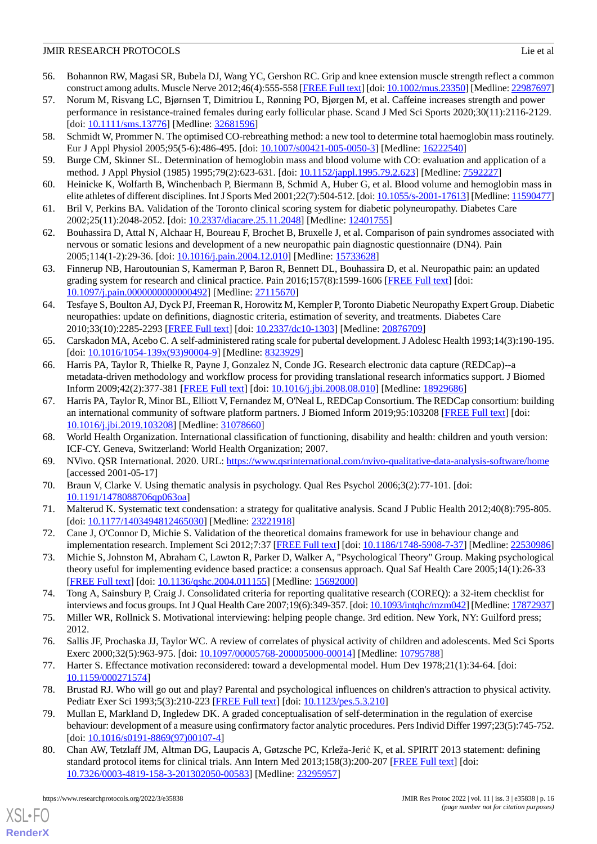- <span id="page-15-0"></span>56. Bohannon RW, Magasi SR, Bubela DJ, Wang YC, Gershon RC. Grip and knee extension muscle strength reflect a common construct among adults. Muscle Nerve 2012;46(4):555-558 [\[FREE Full text](http://europepmc.org/abstract/MED/22987697)] [doi: [10.1002/mus.23350](http://dx.doi.org/10.1002/mus.23350)] [Medline: [22987697\]](http://www.ncbi.nlm.nih.gov/entrez/query.fcgi?cmd=Retrieve&db=PubMed&list_uids=22987697&dopt=Abstract)
- <span id="page-15-1"></span>57. Norum M, Risvang LC, Bjørnsen T, Dimitriou L, Rønning PO, Bjørgen M, et al. Caffeine increases strength and power performance in resistance-trained females during early follicular phase. Scand J Med Sci Sports 2020;30(11):2116-2129. [doi: [10.1111/sms.13776](http://dx.doi.org/10.1111/sms.13776)] [Medline: [32681596](http://www.ncbi.nlm.nih.gov/entrez/query.fcgi?cmd=Retrieve&db=PubMed&list_uids=32681596&dopt=Abstract)]
- <span id="page-15-3"></span><span id="page-15-2"></span>58. Schmidt W, Prommer N. The optimised CO-rebreathing method: a new tool to determine total haemoglobin mass routinely. Eur J Appl Physiol 2005;95(5-6):486-495. [doi: [10.1007/s00421-005-0050-3](http://dx.doi.org/10.1007/s00421-005-0050-3)] [Medline: [16222540](http://www.ncbi.nlm.nih.gov/entrez/query.fcgi?cmd=Retrieve&db=PubMed&list_uids=16222540&dopt=Abstract)]
- <span id="page-15-4"></span>59. Burge CM, Skinner SL. Determination of hemoglobin mass and blood volume with CO: evaluation and application of a method. J Appl Physiol (1985) 1995;79(2):623-631. [doi: [10.1152/jappl.1995.79.2.623](http://dx.doi.org/10.1152/jappl.1995.79.2.623)] [Medline: [7592227](http://www.ncbi.nlm.nih.gov/entrez/query.fcgi?cmd=Retrieve&db=PubMed&list_uids=7592227&dopt=Abstract)]
- <span id="page-15-5"></span>60. Heinicke K, Wolfarth B, Winchenbach P, Biermann B, Schmid A, Huber G, et al. Blood volume and hemoglobin mass in elite athletes of different disciplines. Int J Sports Med 2001;22(7):504-512. [doi: [10.1055/s-2001-17613\]](http://dx.doi.org/10.1055/s-2001-17613) [Medline: [11590477\]](http://www.ncbi.nlm.nih.gov/entrez/query.fcgi?cmd=Retrieve&db=PubMed&list_uids=11590477&dopt=Abstract)
- 61. Bril V, Perkins BA. Validation of the Toronto clinical scoring system for diabetic polyneuropathy. Diabetes Care 2002;25(11):2048-2052. [doi: [10.2337/diacare.25.11.2048](http://dx.doi.org/10.2337/diacare.25.11.2048)] [Medline: [12401755\]](http://www.ncbi.nlm.nih.gov/entrez/query.fcgi?cmd=Retrieve&db=PubMed&list_uids=12401755&dopt=Abstract)
- <span id="page-15-6"></span>62. Bouhassira D, Attal N, Alchaar H, Boureau F, Brochet B, Bruxelle J, et al. Comparison of pain syndromes associated with nervous or somatic lesions and development of a new neuropathic pain diagnostic questionnaire (DN4). Pain 2005;114(1-2):29-36. [doi: [10.1016/j.pain.2004.12.010](http://dx.doi.org/10.1016/j.pain.2004.12.010)] [Medline: [15733628\]](http://www.ncbi.nlm.nih.gov/entrez/query.fcgi?cmd=Retrieve&db=PubMed&list_uids=15733628&dopt=Abstract)
- <span id="page-15-7"></span>63. Finnerup NB, Haroutounian S, Kamerman P, Baron R, Bennett DL, Bouhassira D, et al. Neuropathic pain: an updated grading system for research and clinical practice. Pain 2016;157(8):1599-1606 [[FREE Full text](http://europepmc.org/abstract/MED/27115670)] [doi: [10.1097/j.pain.0000000000000492\]](http://dx.doi.org/10.1097/j.pain.0000000000000492) [Medline: [27115670\]](http://www.ncbi.nlm.nih.gov/entrez/query.fcgi?cmd=Retrieve&db=PubMed&list_uids=27115670&dopt=Abstract)
- <span id="page-15-8"></span>64. Tesfaye S, Boulton AJ, Dyck PJ, Freeman R, Horowitz M, Kempler P, Toronto Diabetic Neuropathy Expert Group. Diabetic neuropathies: update on definitions, diagnostic criteria, estimation of severity, and treatments. Diabetes Care 2010;33(10):2285-2293 [[FREE Full text](http://europepmc.org/abstract/MED/20876709)] [doi: [10.2337/dc10-1303\]](http://dx.doi.org/10.2337/dc10-1303) [Medline: [20876709](http://www.ncbi.nlm.nih.gov/entrez/query.fcgi?cmd=Retrieve&db=PubMed&list_uids=20876709&dopt=Abstract)]
- <span id="page-15-9"></span>65. Carskadon MA, Acebo C. A self-administered rating scale for pubertal development. J Adolesc Health 1993;14(3):190-195. [doi: [10.1016/1054-139x\(93\)90004-9](http://dx.doi.org/10.1016/1054-139x(93)90004-9)] [Medline: [8323929](http://www.ncbi.nlm.nih.gov/entrez/query.fcgi?cmd=Retrieve&db=PubMed&list_uids=8323929&dopt=Abstract)]
- <span id="page-15-10"></span>66. Harris PA, Taylor R, Thielke R, Payne J, Gonzalez N, Conde JG. Research electronic data capture (REDCap)--a metadata-driven methodology and workflow process for providing translational research informatics support. J Biomed Inform 2009;42(2):377-381 [\[FREE Full text\]](https://linkinghub.elsevier.com/retrieve/pii/S1532-0464(08)00122-6) [doi: [10.1016/j.jbi.2008.08.010](http://dx.doi.org/10.1016/j.jbi.2008.08.010)] [Medline: [18929686](http://www.ncbi.nlm.nih.gov/entrez/query.fcgi?cmd=Retrieve&db=PubMed&list_uids=18929686&dopt=Abstract)]
- <span id="page-15-12"></span><span id="page-15-11"></span>67. Harris PA, Taylor R, Minor BL, Elliott V, Fernandez M, O'Neal L, REDCap Consortium. The REDCap consortium: building an international community of software platform partners. J Biomed Inform 2019;95:103208 [[FREE Full text](https://linkinghub.elsevier.com/retrieve/pii/S1532-0464(19)30126-1)] [doi: [10.1016/j.jbi.2019.103208\]](http://dx.doi.org/10.1016/j.jbi.2019.103208) [Medline: [31078660](http://www.ncbi.nlm.nih.gov/entrez/query.fcgi?cmd=Retrieve&db=PubMed&list_uids=31078660&dopt=Abstract)]
- <span id="page-15-13"></span>68. World Health Organization. International classification of functioning, disability and health: children and youth version: ICF-CY. Geneva, Switzerland: World Health Organization; 2007.
- <span id="page-15-14"></span>69. NVivo. QSR International. 2020. URL:<https://www.qsrinternational.com/nvivo-qualitative-data-analysis-software/home> [accessed 2001-05-17]
- <span id="page-15-15"></span>70. Braun V, Clarke V. Using thematic analysis in psychology. Qual Res Psychol 2006;3(2):77-101. [doi: [10.1191/1478088706qp063oa](http://dx.doi.org/10.1191/1478088706qp063oa)]
- <span id="page-15-16"></span>71. Malterud K. Systematic text condensation: a strategy for qualitative analysis. Scand J Public Health 2012;40(8):795-805. [doi: [10.1177/1403494812465030](http://dx.doi.org/10.1177/1403494812465030)] [Medline: [23221918\]](http://www.ncbi.nlm.nih.gov/entrez/query.fcgi?cmd=Retrieve&db=PubMed&list_uids=23221918&dopt=Abstract)
- <span id="page-15-17"></span>72. Cane J, O'Connor D, Michie S. Validation of the theoretical domains framework for use in behaviour change and implementation research. Implement Sci 2012;7:37 [[FREE Full text\]](https://implementationscience.biomedcentral.com/articles/10.1186/1748-5908-7-37) [doi: [10.1186/1748-5908-7-37](http://dx.doi.org/10.1186/1748-5908-7-37)] [Medline: [22530986](http://www.ncbi.nlm.nih.gov/entrez/query.fcgi?cmd=Retrieve&db=PubMed&list_uids=22530986&dopt=Abstract)]
- <span id="page-15-18"></span>73. Michie S, Johnston M, Abraham C, Lawton R, Parker D, Walker A, "Psychological Theory" Group. Making psychological theory useful for implementing evidence based practice: a consensus approach. Qual Saf Health Care 2005;14(1):26-33 [[FREE Full text](https://qhc.bmj.com/lookup/pmidlookup?view=long&pmid=15692000)] [doi: [10.1136/qshc.2004.011155](http://dx.doi.org/10.1136/qshc.2004.011155)] [Medline: [15692000\]](http://www.ncbi.nlm.nih.gov/entrez/query.fcgi?cmd=Retrieve&db=PubMed&list_uids=15692000&dopt=Abstract)
- <span id="page-15-19"></span>74. Tong A, Sainsbury P, Craig J. Consolidated criteria for reporting qualitative research (COREQ): a 32-item checklist for interviews and focus groups. Int J Qual Health Care 2007;19(6):349-357. [doi: [10.1093/intqhc/mzm042\]](http://dx.doi.org/10.1093/intqhc/mzm042) [Medline: [17872937\]](http://www.ncbi.nlm.nih.gov/entrez/query.fcgi?cmd=Retrieve&db=PubMed&list_uids=17872937&dopt=Abstract)
- <span id="page-15-20"></span>75. Miller WR, Rollnick S. Motivational interviewing: helping people change. 3rd edition. New York, NY: Guilford press; 2012.
- <span id="page-15-21"></span>76. Sallis JF, Prochaska JJ, Taylor WC. A review of correlates of physical activity of children and adolescents. Med Sci Sports Exerc 2000;32(5):963-975. [doi: [10.1097/00005768-200005000-00014](http://dx.doi.org/10.1097/00005768-200005000-00014)] [Medline: [10795788\]](http://www.ncbi.nlm.nih.gov/entrez/query.fcgi?cmd=Retrieve&db=PubMed&list_uids=10795788&dopt=Abstract)
- <span id="page-15-22"></span>77. Harter S. Effectance motivation reconsidered: toward a developmental model. Hum Dev 1978;21(1):34-64. [doi: [10.1159/000271574\]](http://dx.doi.org/10.1159/000271574)
- 78. Brustad RJ. Who will go out and play? Parental and psychological influences on children's attraction to physical activity. Pediatr Exer Sci 1993;5(3):210-223 [\[FREE Full text\]](https://doi.org/10.1123/pes.5.3.210) [doi: [10.1123/pes.5.3.210\]](http://dx.doi.org/10.1123/pes.5.3.210)
- 79. Mullan E, Markland D, Ingledew DK. A graded conceptualisation of self-determination in the regulation of exercise behaviour: development of a measure using confirmatory factor analytic procedures. Pers Individ Differ 1997;23(5):745-752. [doi: [10.1016/s0191-8869\(97\)00107-4](http://dx.doi.org/10.1016/s0191-8869(97)00107-4)]
- 80. Chan AW, Tetzlaff JM, Altman DG, Laupacis A, Gøtzsche PC, Krleža-Jerić K, et al. SPIRIT 2013 statement: defining standard protocol items for clinical trials. Ann Intern Med 2013;158(3):200-207 [\[FREE Full text\]](https://www.acpjournals.org/doi/abs/10.7326/0003-4819-158-3-201302050-00583?url_ver=Z39.88-2003&rfr_id=ori:rid:crossref.org&rfr_dat=cr_pub%3dpubmed) [doi: [10.7326/0003-4819-158-3-201302050-00583](http://dx.doi.org/10.7326/0003-4819-158-3-201302050-00583)] [Medline: [23295957](http://www.ncbi.nlm.nih.gov/entrez/query.fcgi?cmd=Retrieve&db=PubMed&list_uids=23295957&dopt=Abstract)]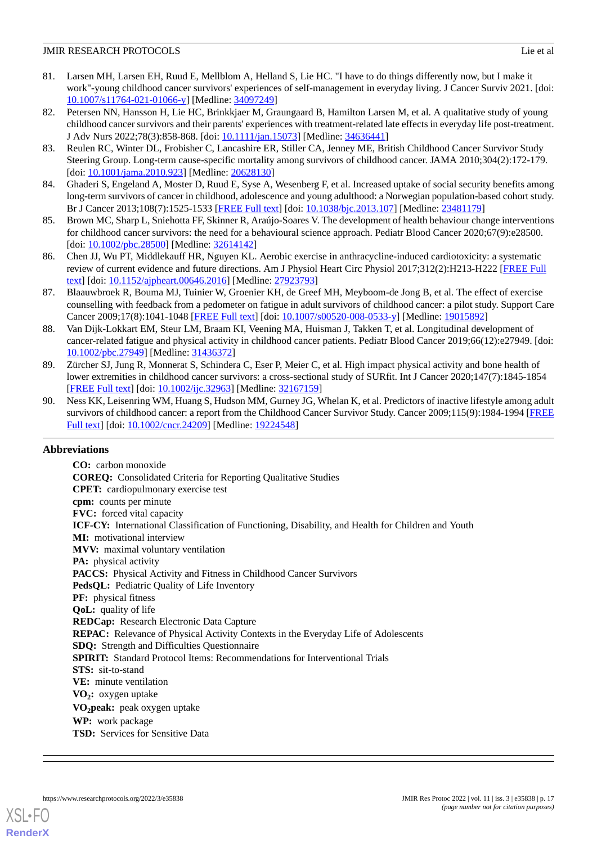- <span id="page-16-0"></span>81. Larsen MH, Larsen EH, Ruud E, Mellblom A, Helland S, Lie HC. "I have to do things differently now, but I make it work"-young childhood cancer survivors' experiences of self-management in everyday living. J Cancer Surviv 2021. [doi: [10.1007/s11764-021-01066-y\]](http://dx.doi.org/10.1007/s11764-021-01066-y) [Medline: [34097249\]](http://www.ncbi.nlm.nih.gov/entrez/query.fcgi?cmd=Retrieve&db=PubMed&list_uids=34097249&dopt=Abstract)
- <span id="page-16-1"></span>82. Petersen NN, Hansson H, Lie HC, Brinkkjaer M, Graungaard B, Hamilton Larsen M, et al. A qualitative study of young childhood cancer survivors and their parents' experiences with treatment-related late effects in everyday life post-treatment. J Adv Nurs 2022;78(3):858-868. [doi: [10.1111/jan.15073](http://dx.doi.org/10.1111/jan.15073)] [Medline: [34636441](http://www.ncbi.nlm.nih.gov/entrez/query.fcgi?cmd=Retrieve&db=PubMed&list_uids=34636441&dopt=Abstract)]
- <span id="page-16-2"></span>83. Reulen RC, Winter DL, Frobisher C, Lancashire ER, Stiller CA, Jenney ME, British Childhood Cancer Survivor Study Steering Group. Long-term cause-specific mortality among survivors of childhood cancer. JAMA 2010;304(2):172-179. [doi: [10.1001/jama.2010.923\]](http://dx.doi.org/10.1001/jama.2010.923) [Medline: [20628130](http://www.ncbi.nlm.nih.gov/entrez/query.fcgi?cmd=Retrieve&db=PubMed&list_uids=20628130&dopt=Abstract)]
- <span id="page-16-4"></span><span id="page-16-3"></span>84. Ghaderi S, Engeland A, Moster D, Ruud E, Syse A, Wesenberg F, et al. Increased uptake of social security benefits among long-term survivors of cancer in childhood, adolescence and young adulthood: a Norwegian population-based cohort study. Br J Cancer 2013;108(7):1525-1533 [[FREE Full text](http://europepmc.org/abstract/MED/23481179)] [doi: [10.1038/bjc.2013.107\]](http://dx.doi.org/10.1038/bjc.2013.107) [Medline: [23481179](http://www.ncbi.nlm.nih.gov/entrez/query.fcgi?cmd=Retrieve&db=PubMed&list_uids=23481179&dopt=Abstract)]
- <span id="page-16-5"></span>85. Brown MC, Sharp L, Sniehotta FF, Skinner R, Araújo-Soares V. The development of health behaviour change interventions for childhood cancer survivors: the need for a behavioural science approach. Pediatr Blood Cancer 2020;67(9):e28500. [doi: [10.1002/pbc.28500](http://dx.doi.org/10.1002/pbc.28500)] [Medline: [32614142\]](http://www.ncbi.nlm.nih.gov/entrez/query.fcgi?cmd=Retrieve&db=PubMed&list_uids=32614142&dopt=Abstract)
- <span id="page-16-6"></span>86. Chen JJ, Wu PT, Middlekauff HR, Nguyen KL. Aerobic exercise in anthracycline-induced cardiotoxicity: a systematic review of current evidence and future directions. Am J Physiol Heart Circ Physiol 2017;312(2):H213-H222 [[FREE Full](https://journals.physiology.org/doi/10.1152/ajpheart.00646.2016?url_ver=Z39.88-2003&rfr_id=ori:rid:crossref.org&rfr_dat=cr_pub%3dpubmed) [text](https://journals.physiology.org/doi/10.1152/ajpheart.00646.2016?url_ver=Z39.88-2003&rfr_id=ori:rid:crossref.org&rfr_dat=cr_pub%3dpubmed)] [doi: [10.1152/ajpheart.00646.2016](http://dx.doi.org/10.1152/ajpheart.00646.2016)] [Medline: [27923793\]](http://www.ncbi.nlm.nih.gov/entrez/query.fcgi?cmd=Retrieve&db=PubMed&list_uids=27923793&dopt=Abstract)
- 87. Blaauwbroek R, Bouma MJ, Tuinier W, Groenier KH, de Greef MH, Meyboom-de Jong B, et al. The effect of exercise counselling with feedback from a pedometer on fatigue in adult survivors of childhood cancer: a pilot study. Support Care Cancer 2009;17(8):1041-1048 [[FREE Full text](http://europepmc.org/abstract/MED/19015892)] [doi: [10.1007/s00520-008-0533-y\]](http://dx.doi.org/10.1007/s00520-008-0533-y) [Medline: [19015892](http://www.ncbi.nlm.nih.gov/entrez/query.fcgi?cmd=Retrieve&db=PubMed&list_uids=19015892&dopt=Abstract)]
- <span id="page-16-7"></span>88. Van Dijk-Lokkart EM, Steur LM, Braam KI, Veening MA, Huisman J, Takken T, et al. Longitudinal development of cancer-related fatigue and physical activity in childhood cancer patients. Pediatr Blood Cancer 2019;66(12):e27949. [doi: [10.1002/pbc.27949\]](http://dx.doi.org/10.1002/pbc.27949) [Medline: [31436372\]](http://www.ncbi.nlm.nih.gov/entrez/query.fcgi?cmd=Retrieve&db=PubMed&list_uids=31436372&dopt=Abstract)
- <span id="page-16-8"></span>89. Zürcher SJ, Jung R, Monnerat S, Schindera C, Eser P, Meier C, et al. High impact physical activity and bone health of lower extremities in childhood cancer survivors: a cross-sectional study of SURfit. Int J Cancer 2020;147(7):1845-1854 [[FREE Full text](https://doi.org/10.1002/ijc.32963)] [doi: [10.1002/ijc.32963](http://dx.doi.org/10.1002/ijc.32963)] [Medline: [32167159](http://www.ncbi.nlm.nih.gov/entrez/query.fcgi?cmd=Retrieve&db=PubMed&list_uids=32167159&dopt=Abstract)]
- 90. Ness KK, Leisenring WM, Huang S, Hudson MM, Gurney JG, Whelan K, et al. Predictors of inactive lifestyle among adult survivors of childhood cancer: a report from the Childhood Cancer Survivor Study. Cancer 2009;115(9):1984-1994 [\[FREE](https://doi.org/10.1002/cncr.24209) [Full text\]](https://doi.org/10.1002/cncr.24209) [doi: [10.1002/cncr.24209\]](http://dx.doi.org/10.1002/cncr.24209) [Medline: [19224548](http://www.ncbi.nlm.nih.gov/entrez/query.fcgi?cmd=Retrieve&db=PubMed&list_uids=19224548&dopt=Abstract)]

### **Abbreviations**

**CO:** carbon monoxide **COREQ:** Consolidated Criteria for Reporting Qualitative Studies **CPET:** cardiopulmonary exercise test **cpm:** counts per minute **FVC:** forced vital capacity **ICF-CY:** International Classification of Functioning, Disability, and Health for Children and Youth **MI:** motivational interview **MVV:** maximal voluntary ventilation **PA:** physical activity PACCS: Physical Activity and Fitness in Childhood Cancer Survivors PedsQL: Pediatric Quality of Life Inventory **PF:** physical fitness **QoL:** quality of life **REDCap:** Research Electronic Data Capture **REPAC:** Relevance of Physical Activity Contexts in the Everyday Life of Adolescents **SDQ:** Strength and Difficulties Questionnaire **SPIRIT:** Standard Protocol Items: Recommendations for Interventional Trials **STS:** sit-to-stand **VE:** minute ventilation **VO<sup>2</sup> :** oxygen uptake **VO2peak:** peak oxygen uptake **WP:** work package **TSD:** Services for Sensitive Data